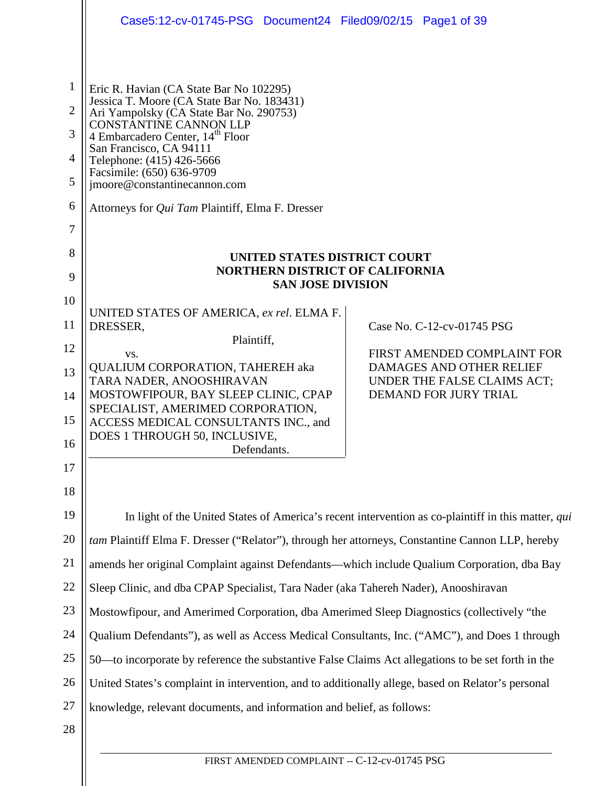|                | Case5:12-cv-01745-PSG Document24 Filed09/02/15 Page1 of 39                                                                                                                                                                                                                                                                                      |  |                                                                |
|----------------|-------------------------------------------------------------------------------------------------------------------------------------------------------------------------------------------------------------------------------------------------------------------------------------------------------------------------------------------------|--|----------------------------------------------------------------|
|                |                                                                                                                                                                                                                                                                                                                                                 |  |                                                                |
| $\mathbf{1}$   | Eric R. Havian (CA State Bar No 102295)                                                                                                                                                                                                                                                                                                         |  |                                                                |
| $\overline{2}$ | Jessica T. Moore (CA State Bar No. 183431)<br>Ari Yampolsky (CA State Bar No. 290753)<br>CONSTANTINE CANNON LLP<br>4 Embarcadero Center, 14 <sup>th</sup> Floor<br>San Francisco, CA 94111<br>Telephone: (415) 426-5666<br>Facsimile: (650) 636-9709<br>jmoore@constantinecannon.com<br>Attorneys for <i>Qui Tam</i> Plaintiff, Elma F. Dresser |  |                                                                |
| 3              |                                                                                                                                                                                                                                                                                                                                                 |  |                                                                |
| $\overline{4}$ |                                                                                                                                                                                                                                                                                                                                                 |  |                                                                |
| 5              |                                                                                                                                                                                                                                                                                                                                                 |  |                                                                |
| 6              |                                                                                                                                                                                                                                                                                                                                                 |  |                                                                |
| 7              |                                                                                                                                                                                                                                                                                                                                                 |  |                                                                |
| 8              | UNITED STATES DISTRICT COURT                                                                                                                                                                                                                                                                                                                    |  |                                                                |
| 9              | <b>NORTHERN DISTRICT OF CALIFORNIA</b><br><b>SAN JOSE DIVISION</b>                                                                                                                                                                                                                                                                              |  |                                                                |
| 10             | UNITED STATES OF AMERICA, ex rel. ELMA F.                                                                                                                                                                                                                                                                                                       |  |                                                                |
| 11             | DRESSER,                                                                                                                                                                                                                                                                                                                                        |  | Case No. C-12-cv-01745 PSG                                     |
| 12             | Plaintiff,<br>VS.                                                                                                                                                                                                                                                                                                                               |  | FIRST AMENDED COMPLAINT FOR                                    |
| 13             | <b>QUALIUM CORPORATION, TAHEREH aka</b><br>TARA NADER, ANOOSHIRAVAN                                                                                                                                                                                                                                                                             |  | <b>DAMAGES AND OTHER RELIEF</b><br>UNDER THE FALSE CLAIMS ACT; |
| 14             | MOSTOWFIPOUR, BAY SLEEP CLINIC, CPAP                                                                                                                                                                                                                                                                                                            |  | DEMAND FOR JURY TRIAL                                          |
| 15             | SPECIALIST, AMERIMED CORPORATION,<br>ACCESS MEDICAL CONSULTANTS INC., and                                                                                                                                                                                                                                                                       |  |                                                                |
| 16             | DOES 1 THROUGH 50, INCLUSIVE,<br>Defendants.                                                                                                                                                                                                                                                                                                    |  |                                                                |
| 17             |                                                                                                                                                                                                                                                                                                                                                 |  |                                                                |
| 18             |                                                                                                                                                                                                                                                                                                                                                 |  |                                                                |
| 19             | In light of the United States of America's recent intervention as co-plaintiff in this matter, qui                                                                                                                                                                                                                                              |  |                                                                |
| 20             | tam Plaintiff Elma F. Dresser ("Relator"), through her attorneys, Constantine Cannon LLP, hereby                                                                                                                                                                                                                                                |  |                                                                |
| 21             | amends her original Complaint against Defendants—which include Qualium Corporation, dba Bay                                                                                                                                                                                                                                                     |  |                                                                |
| 22             | Sleep Clinic, and dba CPAP Specialist, Tara Nader (aka Tahereh Nader), Anooshiravan                                                                                                                                                                                                                                                             |  |                                                                |
| 23             | Mostowfipour, and Amerimed Corporation, dba Amerimed Sleep Diagnostics (collectively "the                                                                                                                                                                                                                                                       |  |                                                                |
| 24             | Qualium Defendants"), as well as Access Medical Consultants, Inc. ("AMC"), and Does 1 through                                                                                                                                                                                                                                                   |  |                                                                |
| 25             | 50—to incorporate by reference the substantive False Claims Act allegations to be set forth in the                                                                                                                                                                                                                                              |  |                                                                |
| 26             | United States's complaint in intervention, and to additionally allege, based on Relator's personal                                                                                                                                                                                                                                              |  |                                                                |
| 27             | knowledge, relevant documents, and information and belief, as follows:                                                                                                                                                                                                                                                                          |  |                                                                |
| 28             |                                                                                                                                                                                                                                                                                                                                                 |  |                                                                |
|                |                                                                                                                                                                                                                                                                                                                                                 |  |                                                                |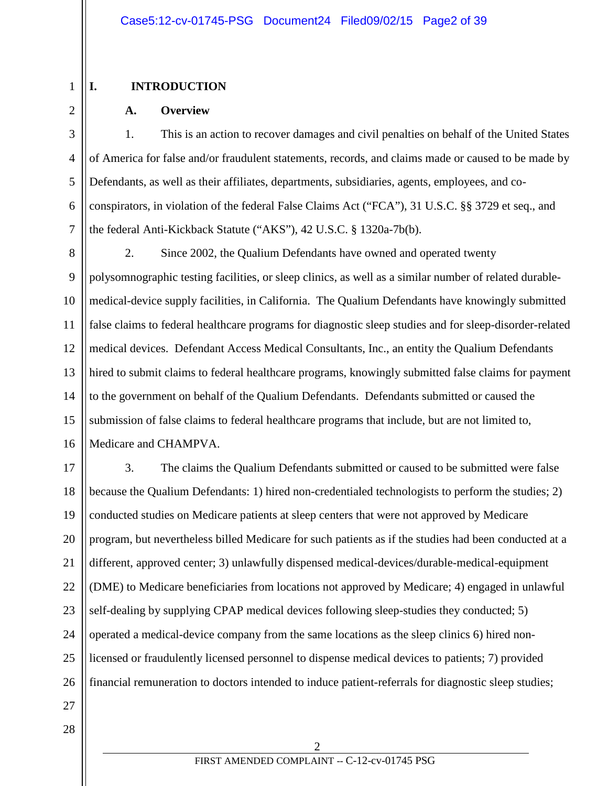## **I. INTRODUCTION**

1

2

3

4

5

6

7

28

## **A. Overview**

1. This is an action to recover damages and civil penalties on behalf of the United States of America for false and/or fraudulent statements, records, and claims made or caused to be made by Defendants, as well as their affiliates, departments, subsidiaries, agents, employees, and coconspirators, in violation of the federal False Claims Act ("FCA"), 31 U.S.C. §§ 3729 et seq., and the federal Anti-Kickback Statute ("AKS"), 42 U.S.C. § 1320a-7b(b).

8 9 10 11 12 13 14 15 16 2. Since 2002, the Qualium Defendants have owned and operated twenty polysomnographic testing facilities, or sleep clinics, as well as a similar number of related durablemedical-device supply facilities, in California. The Qualium Defendants have knowingly submitted false claims to federal healthcare programs for diagnostic sleep studies and for sleep-disorder-related medical devices. Defendant Access Medical Consultants, Inc., an entity the Qualium Defendants hired to submit claims to federal healthcare programs, knowingly submitted false claims for payment to the government on behalf of the Qualium Defendants. Defendants submitted or caused the submission of false claims to federal healthcare programs that include, but are not limited to, Medicare and CHAMPVA.

17 18 19 20 21 22 23 24 25 26 27 3. The claims the Qualium Defendants submitted or caused to be submitted were false because the Qualium Defendants: 1) hired non-credentialed technologists to perform the studies; 2) conducted studies on Medicare patients at sleep centers that were not approved by Medicare program, but nevertheless billed Medicare for such patients as if the studies had been conducted at a different, approved center; 3) unlawfully dispensed medical-devices/durable-medical-equipment (DME) to Medicare beneficiaries from locations not approved by Medicare; 4) engaged in unlawful self-dealing by supplying CPAP medical devices following sleep-studies they conducted; 5) operated a medical-device company from the same locations as the sleep clinics 6) hired nonlicensed or fraudulently licensed personnel to dispense medical devices to patients; 7) provided financial remuneration to doctors intended to induce patient-referrals for diagnostic sleep studies;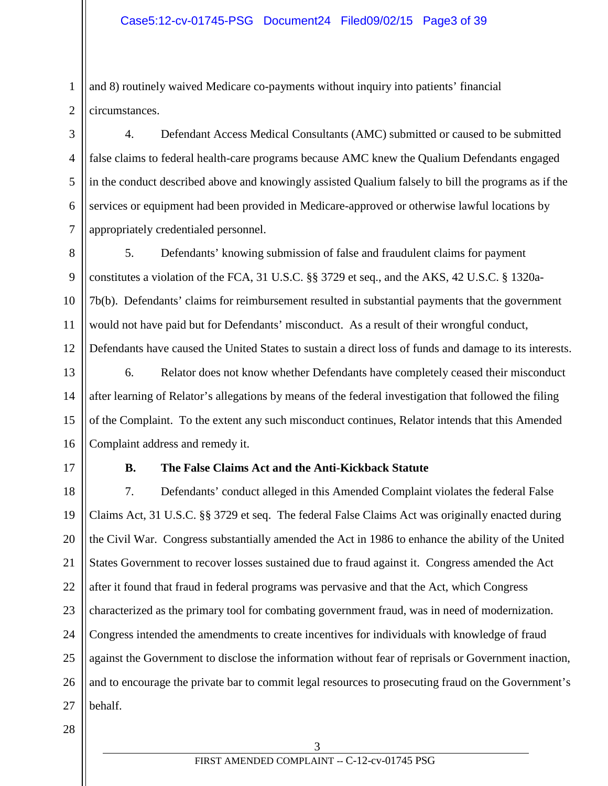and 8) routinely waived Medicare co-payments without inquiry into patients' financial circumstances.

4. Defendant Access Medical Consultants (AMC) submitted or caused to be submitted false claims to federal health-care programs because AMC knew the Qualium Defendants engaged in the conduct described above and knowingly assisted Qualium falsely to bill the programs as if the services or equipment had been provided in Medicare-approved or otherwise lawful locations by appropriately credentialed personnel.

8 9 10 11 12 5. Defendants' knowing submission of false and fraudulent claims for payment constitutes a violation of the FCA, 31 U.S.C. §§ 3729 et seq., and the AKS, 42 U.S.C. § 1320a-7b(b). Defendants' claims for reimbursement resulted in substantial payments that the government would not have paid but for Defendants' misconduct. As a result of their wrongful conduct, Defendants have caused the United States to sustain a direct loss of funds and damage to its interests.

13 14 15 16 6. Relator does not know whether Defendants have completely ceased their misconduct after learning of Relator's allegations by means of the federal investigation that followed the filing of the Complaint. To the extent any such misconduct continues, Relator intends that this Amended Complaint address and remedy it.

17

1

2

3

4

5

6

7

## **B. The False Claims Act and the Anti-Kickback Statute**

18 19 20 21 22 23 24 25 26 27 7. Defendants' conduct alleged in this Amended Complaint violates the federal False Claims Act, 31 U.S.C. §§ 3729 et seq. The federal False Claims Act was originally enacted during the Civil War. Congress substantially amended the Act in 1986 to enhance the ability of the United States Government to recover losses sustained due to fraud against it. Congress amended the Act after it found that fraud in federal programs was pervasive and that the Act, which Congress characterized as the primary tool for combating government fraud, was in need of modernization. Congress intended the amendments to create incentives for individuals with knowledge of fraud against the Government to disclose the information without fear of reprisals or Government inaction, and to encourage the private bar to commit legal resources to prosecuting fraud on the Government's behalf.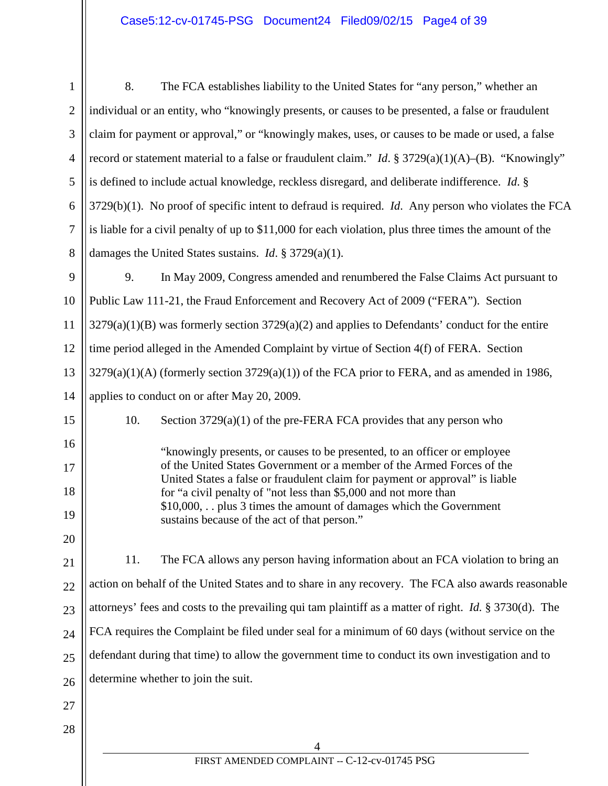| $\mathbf{1}$   | 8.<br>The FCA establishes liability to the United States for "any person," whether an                                                                                                 |  |  |
|----------------|---------------------------------------------------------------------------------------------------------------------------------------------------------------------------------------|--|--|
| $\overline{2}$ | individual or an entity, who "knowingly presents, or causes to be presented, a false or fraudulent                                                                                    |  |  |
| 3              | claim for payment or approval," or "knowingly makes, uses, or causes to be made or used, a false                                                                                      |  |  |
| $\overline{4}$ | record or statement material to a false or fraudulent claim." <i>Id.</i> § 3729(a)(1)(A)–(B). "Knowingly"                                                                             |  |  |
| 5              | is defined to include actual knowledge, reckless disregard, and deliberate indifference. Id. §                                                                                        |  |  |
| 6              | $3729(b)(1)$ . No proof of specific intent to defraud is required. <i>Id.</i> Any person who violates the FCA                                                                         |  |  |
| $\tau$         | is liable for a civil penalty of up to \$11,000 for each violation, plus three times the amount of the                                                                                |  |  |
| 8              | damages the United States sustains. <i>Id.</i> $\S 3729(a)(1)$ .                                                                                                                      |  |  |
| 9              | 9.<br>In May 2009, Congress amended and renumbered the False Claims Act pursuant to                                                                                                   |  |  |
| 10             | Public Law 111-21, the Fraud Enforcement and Recovery Act of 2009 ("FERA"). Section                                                                                                   |  |  |
| 11             | $3279(a)(1)(B)$ was formerly section $3729(a)(2)$ and applies to Defendants' conduct for the entire                                                                                   |  |  |
| 12             | time period alleged in the Amended Complaint by virtue of Section 4(f) of FERA. Section                                                                                               |  |  |
| 13             | $3279(a)(1)(A)$ (formerly section $3729(a)(1)$ ) of the FCA prior to FERA, and as amended in 1986,                                                                                    |  |  |
| 14             | applies to conduct on or after May 20, 2009.                                                                                                                                          |  |  |
| 15             | Section $3729(a)(1)$ of the pre-FERA FCA provides that any person who<br>10.                                                                                                          |  |  |
| 16             | "knowingly presents, or causes to be presented, to an officer or employee                                                                                                             |  |  |
| 17<br>18       | of the United States Government or a member of the Armed Forces of the<br>United States a false or fraudulent claim for payment or approval" is liable                                |  |  |
| 19             | for "a civil penalty of "not less than \$5,000 and not more than<br>\$10,000, plus 3 times the amount of damages which the Government<br>sustains because of the act of that person." |  |  |
| 20             |                                                                                                                                                                                       |  |  |
| 21             | The FCA allows any person having information about an FCA violation to bring an<br>11.                                                                                                |  |  |
| 22             | action on behalf of the United States and to share in any recovery. The FCA also awards reasonable                                                                                    |  |  |
| 23             | attorneys' fees and costs to the prevailing qui tam plaintiff as a matter of right. <i>Id.</i> § 3730(d). The                                                                         |  |  |
| 24             | FCA requires the Complaint be filed under seal for a minimum of 60 days (without service on the                                                                                       |  |  |
| 25             | defendant during that time) to allow the government time to conduct its own investigation and to                                                                                      |  |  |
| 26             | determine whether to join the suit.                                                                                                                                                   |  |  |
| 27             |                                                                                                                                                                                       |  |  |
| 28             |                                                                                                                                                                                       |  |  |
|                | $\begin{array}{c} \textbf{4} \\ \textbf{FIRST AMENDED COMPLANT -- C-12-cv-01745 PSG} \end{array}$                                                                                     |  |  |
|                |                                                                                                                                                                                       |  |  |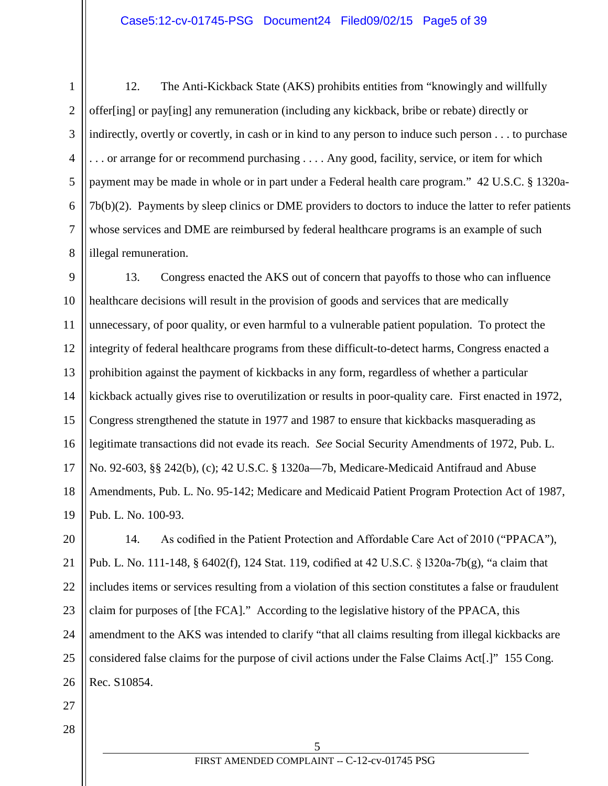### Case5:12-cv-01745-PSG Document24 Filed09/02/15 Page5 of 39

12. The Anti-Kickback State (AKS) prohibits entities from "knowingly and willfully offer[ing] or pay[ing] any remuneration (including any kickback, bribe or rebate) directly or indirectly, overtly or covertly, in cash or in kind to any person to induce such person . . . to purchase . . . or arrange for or recommend purchasing . . . . Any good, facility, service, or item for which payment may be made in whole or in part under a Federal health care program." 42 U.S.C. § 1320a-7b(b)(2). Payments by sleep clinics or DME providers to doctors to induce the latter to refer patients whose services and DME are reimbursed by federal healthcare programs is an example of such illegal remuneration.

9 10 11 12 13 14 15 16 17 18 19 13. Congress enacted the AKS out of concern that payoffs to those who can influence healthcare decisions will result in the provision of goods and services that are medically unnecessary, of poor quality, or even harmful to a vulnerable patient population. To protect the integrity of federal healthcare programs from these difficult-to-detect harms, Congress enacted a prohibition against the payment of kickbacks in any form, regardless of whether a particular kickback actually gives rise to overutilization or results in poor-quality care. First enacted in 1972, Congress strengthened the statute in 1977 and 1987 to ensure that kickbacks masquerading as legitimate transactions did not evade its reach. *See* Social Security Amendments of 1972, Pub. L. No. 92-603, §§ 242(b), (c); 42 U.S.C. § 1320a—7b, Medicare-Medicaid Antifraud and Abuse Amendments, Pub. L. No. 95-142; Medicare and Medicaid Patient Program Protection Act of 1987, Pub. L. No. 100-93.

20 21 22 23 24 25 26 14. As codified in the Patient Protection and Affordable Care Act of 2010 ("PPACA"), Pub. L. No. 111-148, § 6402(f), 124 Stat. 119, codified at 42 U.S.C. § l320a-7b(g), "a claim that includes items or services resulting from a violation of this section constitutes a false or fraudulent claim for purposes of [the FCA]." According to the legislative history of the PPACA, this amendment to the AKS was intended to clarify "that all claims resulting from illegal kickbacks are considered false claims for the purpose of civil actions under the False Claims Act[.]" 155 Cong. Rec. S10854.

27 28

1

2

3

4

5

6

7

8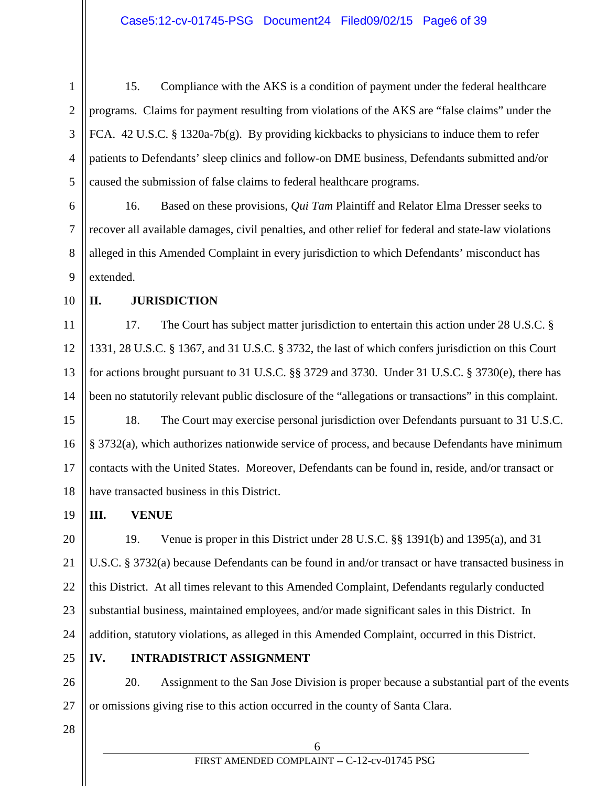- 1 2 3 4 5 15. Compliance with the AKS is a condition of payment under the federal healthcare programs. Claims for payment resulting from violations of the AKS are "false claims" under the FCA. 42 U.S.C. § 1320a-7b(g). By providing kickbacks to physicians to induce them to refer patients to Defendants' sleep clinics and follow-on DME business, Defendants submitted and/or caused the submission of false claims to federal healthcare programs.
- 6 7 8 9 16. Based on these provisions, *Qui Tam* Plaintiff and Relator Elma Dresser seeks to recover all available damages, civil penalties, and other relief for federal and state-law violations alleged in this Amended Complaint in every jurisdiction to which Defendants' misconduct has extended.
- 10

## **II. JURISDICTION**

11 12 13 14 17. The Court has subject matter jurisdiction to entertain this action under 28 U.S.C. § 1331, 28 U.S.C. § 1367, and 31 U.S.C. § 3732, the last of which confers jurisdiction on this Court for actions brought pursuant to 31 U.S.C. §§ 3729 and 3730. Under 31 U.S.C. § 3730(e), there has been no statutorily relevant public disclosure of the "allegations or transactions" in this complaint.

15 16 17 18 18. The Court may exercise personal jurisdiction over Defendants pursuant to 31 U.S.C. § 3732(a), which authorizes nationwide service of process, and because Defendants have minimum contacts with the United States. Moreover, Defendants can be found in, reside, and/or transact or have transacted business in this District.

**III. VENUE**

20 21 22 23 24 19. Venue is proper in this District under 28 U.S.C. §§ 1391(b) and 1395(a), and 31 U.S.C. § 3732(a) because Defendants can be found in and/or transact or have transacted business in this District. At all times relevant to this Amended Complaint, Defendants regularly conducted substantial business, maintained employees, and/or made significant sales in this District. In addition, statutory violations, as alleged in this Amended Complaint, occurred in this District.

25

19

## **IV. INTRADISTRICT ASSIGNMENT**

26 27 20. Assignment to the San Jose Division is proper because a substantial part of the events or omissions giving rise to this action occurred in the county of Santa Clara.

28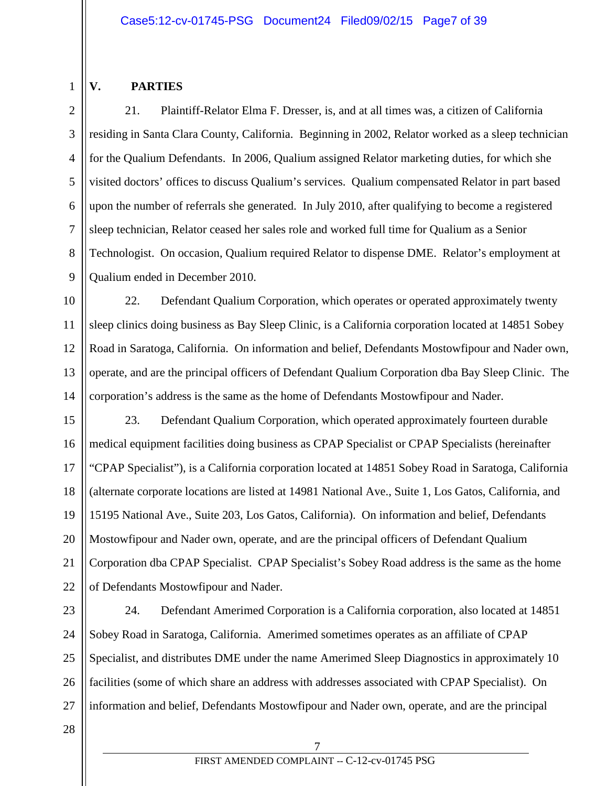## **V. PARTIES**

1

2

3

4

5

6

7

8

9

21. Plaintiff-Relator Elma F. Dresser, is, and at all times was, a citizen of California residing in Santa Clara County, California. Beginning in 2002, Relator worked as a sleep technician for the Qualium Defendants. In 2006, Qualium assigned Relator marketing duties, for which she visited doctors' offices to discuss Qualium's services. Qualium compensated Relator in part based upon the number of referrals she generated. In July 2010, after qualifying to become a registered sleep technician, Relator ceased her sales role and worked full time for Qualium as a Senior Technologist. On occasion, Qualium required Relator to dispense DME. Relator's employment at Qualium ended in December 2010.

10 11 12 13 14 22. Defendant Qualium Corporation, which operates or operated approximately twenty sleep clinics doing business as Bay Sleep Clinic, is a California corporation located at 14851 Sobey Road in Saratoga, California. On information and belief, Defendants Mostowfipour and Nader own, operate, and are the principal officers of Defendant Qualium Corporation dba Bay Sleep Clinic. The corporation's address is the same as the home of Defendants Mostowfipour and Nader.

15 16 17 18 19 20 21 22 23. Defendant Qualium Corporation, which operated approximately fourteen durable medical equipment facilities doing business as CPAP Specialist or CPAP Specialists (hereinafter "CPAP Specialist"), is a California corporation located at 14851 Sobey Road in Saratoga, California (alternate corporate locations are listed at 14981 National Ave., Suite 1, Los Gatos, California, and 15195 National Ave., Suite 203, Los Gatos, California). On information and belief, Defendants Mostowfipour and Nader own, operate, and are the principal officers of Defendant Qualium Corporation dba CPAP Specialist. CPAP Specialist's Sobey Road address is the same as the home of Defendants Mostowfipour and Nader.

23 24 25 26 27 24. Defendant Amerimed Corporation is a California corporation, also located at 14851 Sobey Road in Saratoga, California. Amerimed sometimes operates as an affiliate of CPAP Specialist, and distributes DME under the name Amerimed Sleep Diagnostics in approximately 10 facilities (some of which share an address with addresses associated with CPAP Specialist). On information and belief, Defendants Mostowfipour and Nader own, operate, and are the principal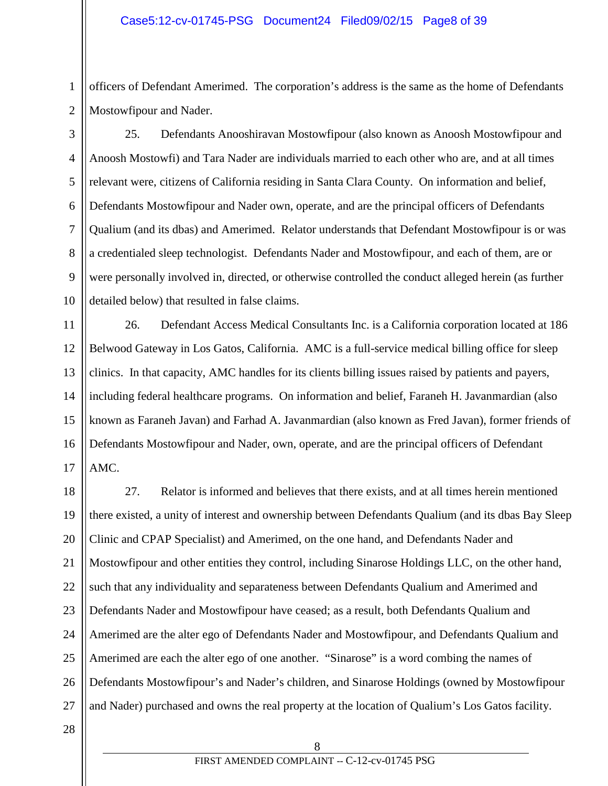### Case5:12-cv-01745-PSG Document24 Filed09/02/15 Page8 of 39

officers of Defendant Amerimed. The corporation's address is the same as the home of Defendants Mostowfipour and Nader.

1

2

3

4

5

6

7

8

9

10

25. Defendants Anooshiravan Mostowfipour (also known as Anoosh Mostowfipour and Anoosh Mostowfi) and Tara Nader are individuals married to each other who are, and at all times relevant were, citizens of California residing in Santa Clara County. On information and belief, Defendants Mostowfipour and Nader own, operate, and are the principal officers of Defendants Qualium (and its dbas) and Amerimed. Relator understands that Defendant Mostowfipour is or was a credentialed sleep technologist. Defendants Nader and Mostowfipour, and each of them, are or were personally involved in, directed, or otherwise controlled the conduct alleged herein (as further detailed below) that resulted in false claims.

11 12 13 14 15 16 17 26. Defendant Access Medical Consultants Inc. is a California corporation located at 186 Belwood Gateway in Los Gatos, California. AMC is a full-service medical billing office for sleep clinics. In that capacity, AMC handles for its clients billing issues raised by patients and payers, including federal healthcare programs. On information and belief, Faraneh H. Javanmardian (also known as Faraneh Javan) and Farhad A. Javanmardian (also known as Fred Javan), former friends of Defendants Mostowfipour and Nader, own, operate, and are the principal officers of Defendant AMC.

18 19 20 21 22 23 24 25 26 27 27. Relator is informed and believes that there exists, and at all times herein mentioned there existed, a unity of interest and ownership between Defendants Qualium (and its dbas Bay Sleep Clinic and CPAP Specialist) and Amerimed, on the one hand, and Defendants Nader and Mostowfipour and other entities they control, including Sinarose Holdings LLC, on the other hand, such that any individuality and separateness between Defendants Qualium and Amerimed and Defendants Nader and Mostowfipour have ceased; as a result, both Defendants Qualium and Amerimed are the alter ego of Defendants Nader and Mostowfipour, and Defendants Qualium and Amerimed are each the alter ego of one another. "Sinarose" is a word combing the names of Defendants Mostowfipour's and Nader's children, and Sinarose Holdings (owned by Mostowfipour and Nader) purchased and owns the real property at the location of Qualium's Los Gatos facility.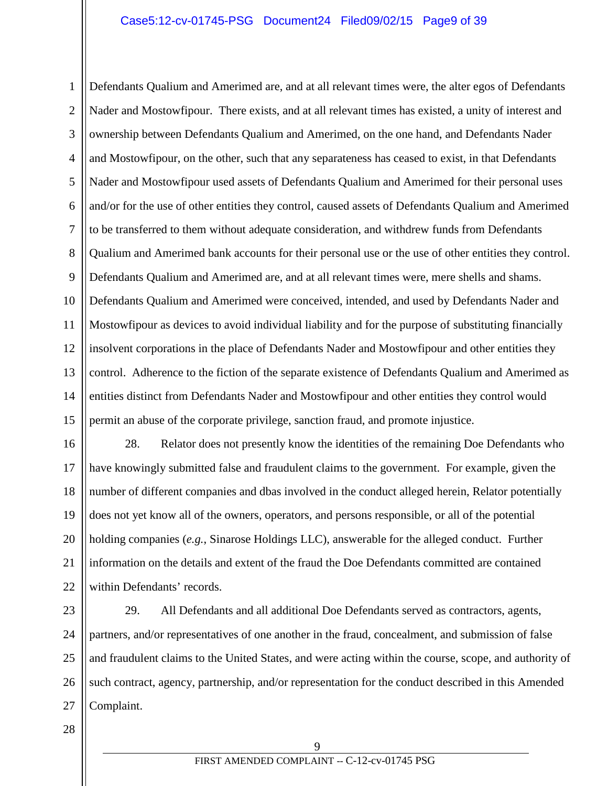### Case5:12-cv-01745-PSG Document24 Filed09/02/15 Page9 of 39

1 2 3 4 5 6 7 8 9 10 11 12 13 14 15 Defendants Qualium and Amerimed are, and at all relevant times were, the alter egos of Defendants Nader and Mostowfipour. There exists, and at all relevant times has existed, a unity of interest and ownership between Defendants Qualium and Amerimed, on the one hand, and Defendants Nader and Mostowfipour, on the other, such that any separateness has ceased to exist, in that Defendants Nader and Mostowfipour used assets of Defendants Qualium and Amerimed for their personal uses and/or for the use of other entities they control, caused assets of Defendants Qualium and Amerimed to be transferred to them without adequate consideration, and withdrew funds from Defendants Qualium and Amerimed bank accounts for their personal use or the use of other entities they control. Defendants Qualium and Amerimed are, and at all relevant times were, mere shells and shams. Defendants Qualium and Amerimed were conceived, intended, and used by Defendants Nader and Mostowfipour as devices to avoid individual liability and for the purpose of substituting financially insolvent corporations in the place of Defendants Nader and Mostowfipour and other entities they control. Adherence to the fiction of the separate existence of Defendants Qualium and Amerimed as entities distinct from Defendants Nader and Mostowfipour and other entities they control would permit an abuse of the corporate privilege, sanction fraud, and promote injustice.

16 17 18 19 20 21 22 28. Relator does not presently know the identities of the remaining Doe Defendants who have knowingly submitted false and fraudulent claims to the government. For example, given the number of different companies and dbas involved in the conduct alleged herein, Relator potentially does not yet know all of the owners, operators, and persons responsible, or all of the potential holding companies (*e.g.*, Sinarose Holdings LLC), answerable for the alleged conduct. Further information on the details and extent of the fraud the Doe Defendants committed are contained within Defendants' records.

23 24 25 26 27 29. All Defendants and all additional Doe Defendants served as contractors, agents, partners, and/or representatives of one another in the fraud, concealment, and submission of false and fraudulent claims to the United States, and were acting within the course, scope, and authority of such contract, agency, partnership, and/or representation for the conduct described in this Amended Complaint.

28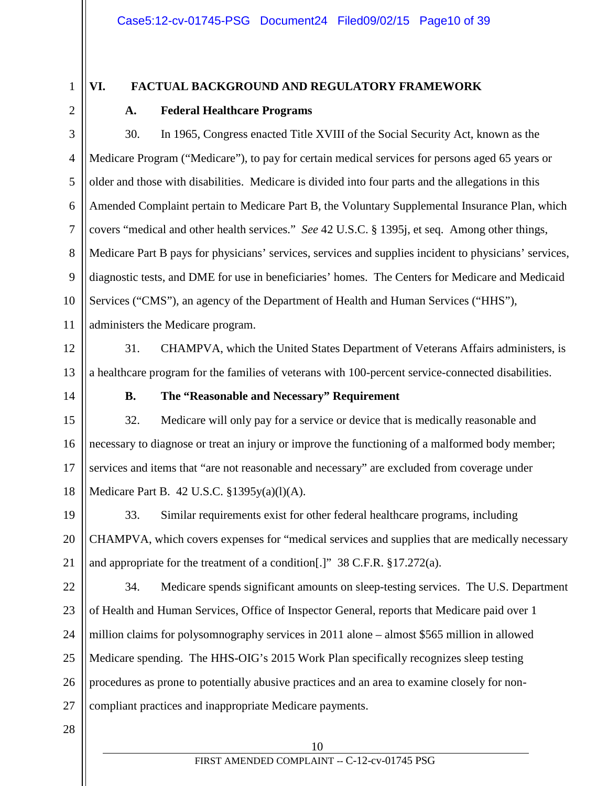1 2

3

4

5

6

7

8

9

## **VI. FACTUAL BACKGROUND AND REGULATORY FRAMEWORK**

## **A. Federal Healthcare Programs**

10 30. In 1965, Congress enacted Title XVIII of the Social Security Act, known as the Medicare Program ("Medicare"), to pay for certain medical services for persons aged 65 years or older and those with disabilities. Medicare is divided into four parts and the allegations in this Amended Complaint pertain to Medicare Part B, the Voluntary Supplemental Insurance Plan, which covers "medical and other health services." *See* 42 U.S.C. § 1395j, et seq. Among other things, Medicare Part B pays for physicians' services, services and supplies incident to physicians' services, diagnostic tests, and DME for use in beneficiaries' homes. The Centers for Medicare and Medicaid Services ("CMS"), an agency of the Department of Health and Human Services ("HHS"), administers the Medicare program.

12

13

14

11

31. CHAMPVA, which the United States Department of Veterans Affairs administers, is a healthcare program for the families of veterans with 100-percent service-connected disabilities.

### **B. The "Reasonable and Necessary" Requirement**

15 16 17 18 32. Medicare will only pay for a service or device that is medically reasonable and necessary to diagnose or treat an injury or improve the functioning of a malformed body member; services and items that "are not reasonable and necessary" are excluded from coverage under Medicare Part B. 42 U.S.C. §1395y(a)(l)(A).

19 20 21 33. Similar requirements exist for other federal healthcare programs, including CHAMPVA, which covers expenses for "medical services and supplies that are medically necessary and appropriate for the treatment of a condition[.]" 38 C.F.R. §17.272(a).

22 23 24 25 26 27 34. Medicare spends significant amounts on sleep-testing services. The U.S. Department of Health and Human Services, Office of Inspector General, reports that Medicare paid over 1 million claims for polysomnography services in 2011 alone – almost \$565 million in allowed Medicare spending. The HHS-OIG's 2015 Work Plan specifically recognizes sleep testing procedures as prone to potentially abusive practices and an area to examine closely for noncompliant practices and inappropriate Medicare payments.

28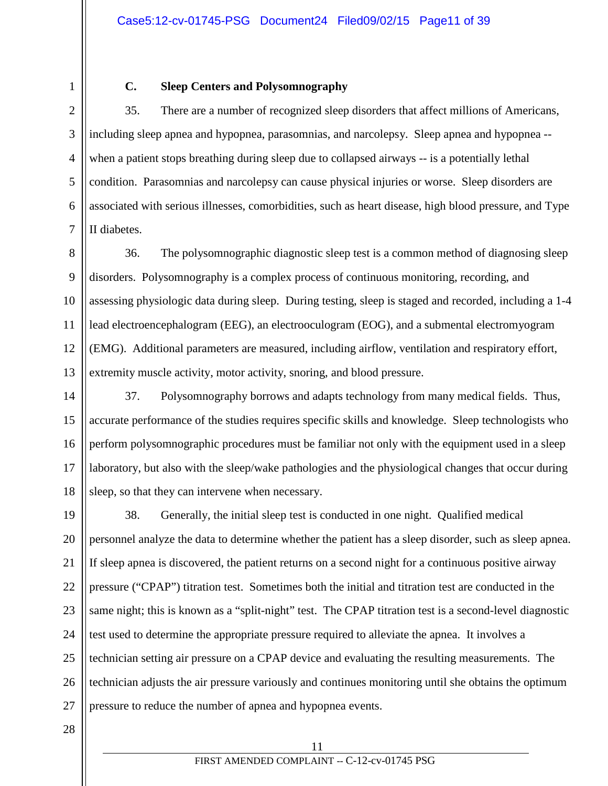1 2

## **C. Sleep Centers and Polysomnography**

3 4 5 6 7 35. There are a number of recognized sleep disorders that affect millions of Americans, including sleep apnea and hypopnea, parasomnias, and narcolepsy. Sleep apnea and hypopnea - when a patient stops breathing during sleep due to collapsed airways -- is a potentially lethal condition. Parasomnias and narcolepsy can cause physical injuries or worse. Sleep disorders are associated with serious illnesses, comorbidities, such as heart disease, high blood pressure, and Type II diabetes.

8 9 10 11 12 13 36. The polysomnographic diagnostic sleep test is a common method of diagnosing sleep disorders. Polysomnography is a complex process of continuous monitoring, recording, and assessing physiologic data during sleep. During testing, sleep is staged and recorded, including a 1-4 lead electroencephalogram (EEG), an electrooculogram (EOG), and a submental electromyogram (EMG). Additional parameters are measured, including airflow, ventilation and respiratory effort, extremity muscle activity, motor activity, snoring, and blood pressure.

14 15 16 17 18 37. Polysomnography borrows and adapts technology from many medical fields. Thus, accurate performance of the studies requires specific skills and knowledge. Sleep technologists who perform polysomnographic procedures must be familiar not only with the equipment used in a sleep laboratory, but also with the sleep/wake pathologies and the physiological changes that occur during sleep, so that they can intervene when necessary.

19 20 21 22 23 24 25 26 27 38. Generally, the initial sleep test is conducted in one night. Qualified medical personnel analyze the data to determine whether the patient has a sleep disorder, such as sleep apnea. If sleep apnea is discovered, the patient returns on a second night for a continuous positive airway pressure ("CPAP") titration test. Sometimes both the initial and titration test are conducted in the same night; this is known as a "split-night" test. The CPAP titration test is a second-level diagnostic test used to determine the appropriate pressure required to alleviate the apnea. It involves a technician setting air pressure on a CPAP device and evaluating the resulting measurements. The technician adjusts the air pressure variously and continues monitoring until she obtains the optimum pressure to reduce the number of apnea and hypopnea events.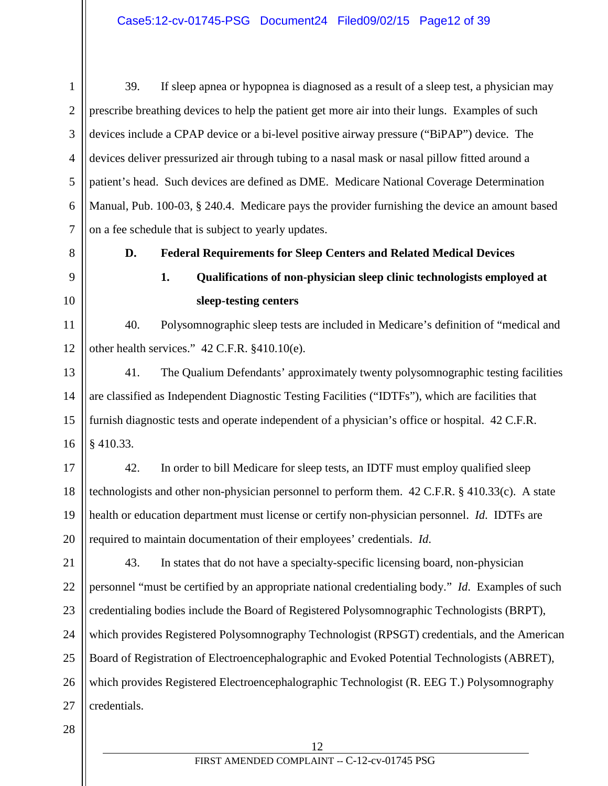1 2 3 4 5 6 7 39. If sleep apnea or hypopnea is diagnosed as a result of a sleep test, a physician may prescribe breathing devices to help the patient get more air into their lungs. Examples of such devices include a CPAP device or a bi-level positive airway pressure ("BiPAP") device. The devices deliver pressurized air through tubing to a nasal mask or nasal pillow fitted around a patient's head. Such devices are defined as DME. Medicare National Coverage Determination Manual, Pub. 100-03, § 240.4. Medicare pays the provider furnishing the device an amount based on a fee schedule that is subject to yearly updates.

8

## 9 10

# **1. Qualifications of non-physician sleep clinic technologists employed at**

### **sleep-testing centers**

11 12 40. Polysomnographic sleep tests are included in Medicare's definition of "medical and other health services." 42 C.F.R. §410.10(e).

**D. Federal Requirements for Sleep Centers and Related Medical Devices**

13 14 15 16 41. The Qualium Defendants' approximately twenty polysomnographic testing facilities are classified as Independent Diagnostic Testing Facilities ("IDTFs"), which are facilities that furnish diagnostic tests and operate independent of a physician's office or hospital. 42 C.F.R. § 410.33.

17 18 19 20 42. In order to bill Medicare for sleep tests, an IDTF must employ qualified sleep technologists and other non-physician personnel to perform them. 42 C.F.R. § 410.33(c). A state health or education department must license or certify non-physician personnel. *Id*. IDTFs are required to maintain documentation of their employees' credentials. *Id*.

21 22 23 24 25 26 27 43. In states that do not have a specialty-specific licensing board, non-physician personnel "must be certified by an appropriate national credentialing body." *Id*. Examples of such credentialing bodies include the Board of Registered Polysomnographic Technologists (BRPT), which provides Registered Polysomnography Technologist (RPSGT) credentials, and the American Board of Registration of Electroencephalographic and Evoked Potential Technologists (ABRET), which provides Registered Electroencephalographic Technologist (R. EEG T.) Polysomnography credentials.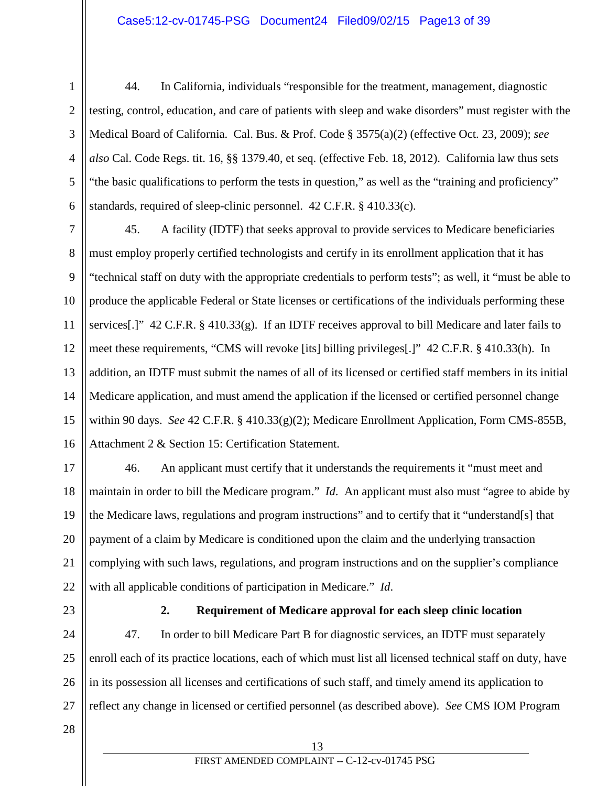### Case5:12-cv-01745-PSG Document24 Filed09/02/15 Page13 of 39

- 1 2 3 4 5 6 44. In California, individuals "responsible for the treatment, management, diagnostic testing, control, education, and care of patients with sleep and wake disorders" must register with the Medical Board of California. Cal. Bus. & Prof. Code § 3575(a)(2) (effective Oct. 23, 2009); *see also* Cal. Code Regs. tit. 16, §§ 1379.40, et seq. (effective Feb. 18, 2012). California law thus sets "the basic qualifications to perform the tests in question," as well as the "training and proficiency" standards, required of sleep-clinic personnel. 42 C.F.R. § 410.33(c).
- 7 8 9 10 11 12 13 14 15 16 45. A facility (IDTF) that seeks approval to provide services to Medicare beneficiaries must employ properly certified technologists and certify in its enrollment application that it has "technical staff on duty with the appropriate credentials to perform tests"; as well, it "must be able to produce the applicable Federal or State licenses or certifications of the individuals performing these services[.]" 42 C.F.R. § 410.33(g). If an IDTF receives approval to bill Medicare and later fails to meet these requirements, "CMS will revoke [its] billing privileges[.]" 42 C.F.R. § 410.33(h). In addition, an IDTF must submit the names of all of its licensed or certified staff members in its initial Medicare application, and must amend the application if the licensed or certified personnel change within 90 days. *See* 42 C.F.R. § 410.33(g)(2); Medicare Enrollment Application, Form CMS-855B, Attachment 2 & Section 15: Certification Statement.
- 17 18 19 20 21 22 46. An applicant must certify that it understands the requirements it "must meet and maintain in order to bill the Medicare program." *Id*. An applicant must also must "agree to abide by the Medicare laws, regulations and program instructions" and to certify that it "understand[s] that payment of a claim by Medicare is conditioned upon the claim and the underlying transaction complying with such laws, regulations, and program instructions and on the supplier's compliance with all applicable conditions of participation in Medicare." *Id*.
- 23

### **2. Requirement of Medicare approval for each sleep clinic location**

24 25 26 27 47. In order to bill Medicare Part B for diagnostic services, an IDTF must separately enroll each of its practice locations, each of which must list all licensed technical staff on duty, have in its possession all licenses and certifications of such staff, and timely amend its application to reflect any change in licensed or certified personnel (as described above). *See* CMS IOM Program

28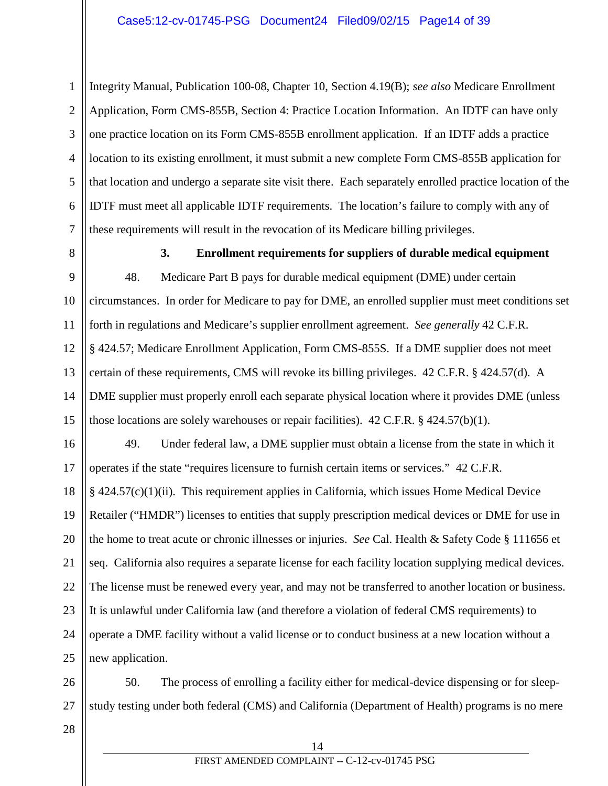#### Case5:12-cv-01745-PSG Document24 Filed09/02/15 Page14 of 39

1 2 3 4 5 6 7 Integrity Manual, Publication 100-08, Chapter 10, Section 4.19(B); *see also* Medicare Enrollment Application, Form CMS-855B, Section 4: Practice Location Information. An IDTF can have only one practice location on its Form CMS-855B enrollment application. If an IDTF adds a practice location to its existing enrollment, it must submit a new complete Form CMS-855B application for that location and undergo a separate site visit there. Each separately enrolled practice location of the IDTF must meet all applicable IDTF requirements. The location's failure to comply with any of these requirements will result in the revocation of its Medicare billing privileges.

8

**3. Enrollment requirements for suppliers of durable medical equipment**

9 10 11 12 13 14 15 48. Medicare Part B pays for durable medical equipment (DME) under certain circumstances. In order for Medicare to pay for DME, an enrolled supplier must meet conditions set forth in regulations and Medicare's supplier enrollment agreement. *See generally* 42 C.F.R. § 424.57; Medicare Enrollment Application, Form CMS-855S. If a DME supplier does not meet certain of these requirements, CMS will revoke its billing privileges. 42 C.F.R. § 424.57(d). A DME supplier must properly enroll each separate physical location where it provides DME (unless those locations are solely warehouses or repair facilities). 42 C.F.R. § 424.57(b)(1).

16 17 18 19 20 21 22 23 24 25 49. Under federal law, a DME supplier must obtain a license from the state in which it operates if the state "requires licensure to furnish certain items or services." 42 C.F.R. § 424.57(c)(1)(ii). This requirement applies in California, which issues Home Medical Device Retailer ("HMDR") licenses to entities that supply prescription medical devices or DME for use in the home to treat acute or chronic illnesses or injuries. *See* Cal. Health & Safety Code § 111656 et seq. California also requires a separate license for each facility location supplying medical devices. The license must be renewed every year, and may not be transferred to another location or business. It is unlawful under California law (and therefore a violation of federal CMS requirements) to operate a DME facility without a valid license or to conduct business at a new location without a new application.

26 27 50. The process of enrolling a facility either for medical-device dispensing or for sleepstudy testing under both federal (CMS) and California (Department of Health) programs is no mere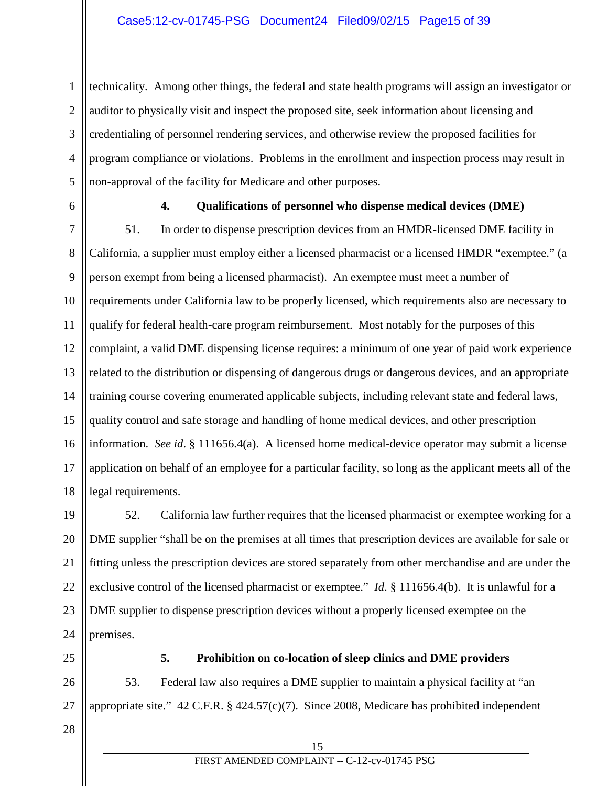1 2 3 4 5 technicality. Among other things, the federal and state health programs will assign an investigator or auditor to physically visit and inspect the proposed site, seek information about licensing and credentialing of personnel rendering services, and otherwise review the proposed facilities for program compliance or violations. Problems in the enrollment and inspection process may result in non-approval of the facility for Medicare and other purposes.

6

## **4. Qualifications of personnel who dispense medical devices (DME)**

7 8 9 10 11 12 13 14 15 16 17 18 51. In order to dispense prescription devices from an HMDR-licensed DME facility in California, a supplier must employ either a licensed pharmacist or a licensed HMDR "exemptee." (a person exempt from being a licensed pharmacist). An exemptee must meet a number of requirements under California law to be properly licensed, which requirements also are necessary to qualify for federal health-care program reimbursement. Most notably for the purposes of this complaint, a valid DME dispensing license requires: a minimum of one year of paid work experience related to the distribution or dispensing of dangerous drugs or dangerous devices, and an appropriate training course covering enumerated applicable subjects, including relevant state and federal laws, quality control and safe storage and handling of home medical devices, and other prescription information. *See id*. § 111656.4(a). A licensed home medical-device operator may submit a license application on behalf of an employee for a particular facility, so long as the applicant meets all of the legal requirements.

19 20 21 22 23 24 52. California law further requires that the licensed pharmacist or exemptee working for a DME supplier "shall be on the premises at all times that prescription devices are available for sale or fitting unless the prescription devices are stored separately from other merchandise and are under the exclusive control of the licensed pharmacist or exemptee." *Id*. § 111656.4(b). It is unlawful for a DME supplier to dispense prescription devices without a properly licensed exemptee on the premises.

25

#### **5. Prohibition on co-location of sleep clinics and DME providers**

26 27 53. Federal law also requires a DME supplier to maintain a physical facility at "an appropriate site." 42 C.F.R. § 424.57(c)(7). Since 2008, Medicare has prohibited independent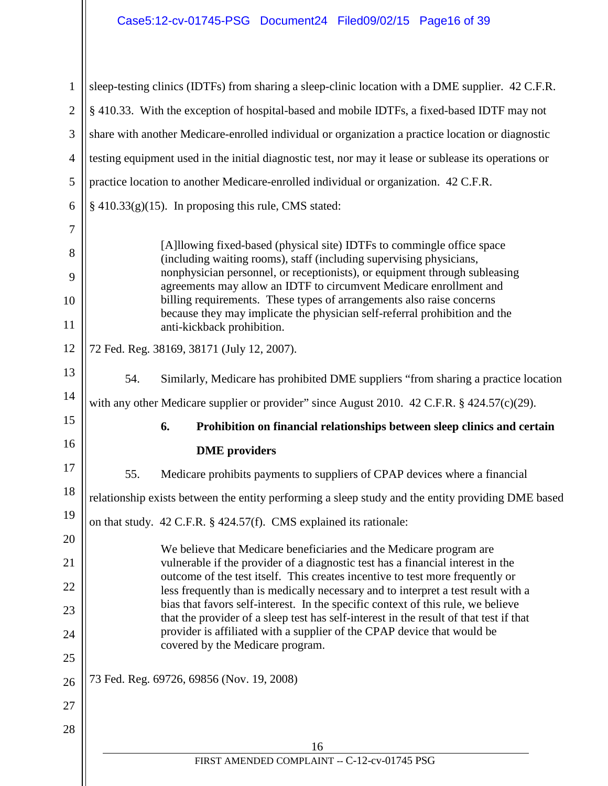# Case5:12-cv-01745-PSG Document24 Filed09/02/15 Page16 of 39

| $\mathbf{1}$   |                                                                                                                                                  | sleep-testing clinics (IDTFs) from sharing a sleep-clinic location with a DME supplier. 42 C.F.R.                                                                     |  |  |
|----------------|--------------------------------------------------------------------------------------------------------------------------------------------------|-----------------------------------------------------------------------------------------------------------------------------------------------------------------------|--|--|
| $\overline{2}$ | § 410.33. With the exception of hospital-based and mobile IDTFs, a fixed-based IDTF may not                                                      |                                                                                                                                                                       |  |  |
| 3              |                                                                                                                                                  | share with another Medicare-enrolled individual or organization a practice location or diagnostic                                                                     |  |  |
| $\overline{4}$ |                                                                                                                                                  | testing equipment used in the initial diagnostic test, nor may it lease or sublease its operations or                                                                 |  |  |
| 5              |                                                                                                                                                  | practice location to another Medicare-enrolled individual or organization. 42 C.F.R.                                                                                  |  |  |
| 6              |                                                                                                                                                  | $§$ 410.33(g)(15). In proposing this rule, CMS stated:                                                                                                                |  |  |
| 7              |                                                                                                                                                  |                                                                                                                                                                       |  |  |
| 8              | [A]llowing fixed-based (physical site) IDTFs to commingle office space<br>(including waiting rooms), staff (including supervising physicians,    |                                                                                                                                                                       |  |  |
| 9              | nonphysician personnel, or receptionists), or equipment through subleasing<br>agreements may allow an IDTF to circumvent Medicare enrollment and |                                                                                                                                                                       |  |  |
| 10             |                                                                                                                                                  | billing requirements. These types of arrangements also raise concerns<br>because they may implicate the physician self-referral prohibition and the                   |  |  |
| 11             |                                                                                                                                                  | anti-kickback prohibition.                                                                                                                                            |  |  |
| 12             |                                                                                                                                                  | 72 Fed. Reg. 38169, 38171 (July 12, 2007).                                                                                                                            |  |  |
| 13             | 54.                                                                                                                                              | Similarly, Medicare has prohibited DME suppliers "from sharing a practice location                                                                                    |  |  |
| 14             | with any other Medicare supplier or provider" since August 2010. 42 C.F.R. § 424.57(c)(29).                                                      |                                                                                                                                                                       |  |  |
| 15             |                                                                                                                                                  | 6.<br>Prohibition on financial relationships between sleep clinics and certain                                                                                        |  |  |
| 16             |                                                                                                                                                  | <b>DME</b> providers                                                                                                                                                  |  |  |
| 17             | 55.                                                                                                                                              | Medicare prohibits payments to suppliers of CPAP devices where a financial                                                                                            |  |  |
| 18             | relationship exists between the entity performing a sleep study and the entity providing DME based                                               |                                                                                                                                                                       |  |  |
| 19             |                                                                                                                                                  | on that study. 42 C.F.R. § 424.57(f). CMS explained its rationale:                                                                                                    |  |  |
| 20             |                                                                                                                                                  | We believe that Medicare beneficiaries and the Medicare program are                                                                                                   |  |  |
| 21             |                                                                                                                                                  | vulnerable if the provider of a diagnostic test has a financial interest in the<br>outcome of the test itself. This creates incentive to test more frequently or      |  |  |
| 22             |                                                                                                                                                  | less frequently than is medically necessary and to interpret a test result with a<br>bias that favors self-interest. In the specific context of this rule, we believe |  |  |
| 23             |                                                                                                                                                  | that the provider of a sleep test has self-interest in the result of that test if that                                                                                |  |  |
| 24             |                                                                                                                                                  | provider is affiliated with a supplier of the CPAP device that would be<br>covered by the Medicare program.                                                           |  |  |
| 25             |                                                                                                                                                  |                                                                                                                                                                       |  |  |
| 26             |                                                                                                                                                  | 73 Fed. Reg. 69726, 69856 (Nov. 19, 2008)                                                                                                                             |  |  |
| 27             |                                                                                                                                                  |                                                                                                                                                                       |  |  |
| 28             |                                                                                                                                                  |                                                                                                                                                                       |  |  |
|                |                                                                                                                                                  | 16<br>FIRST AMENDED COMPLAINT -- C-12-cv-01745 PSG                                                                                                                    |  |  |
|                |                                                                                                                                                  |                                                                                                                                                                       |  |  |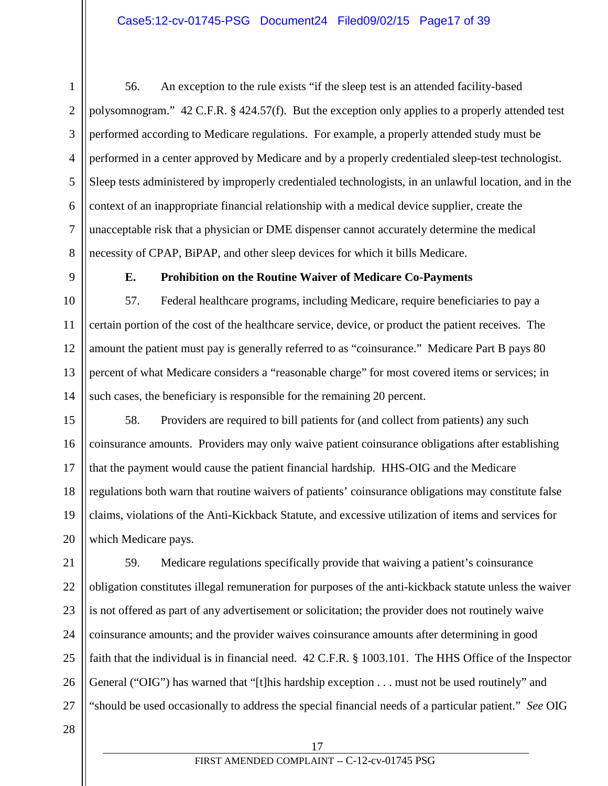1 2 3 4 5 6 7 8 56. An exception to the rule exists "if the sleep test is an attended facility-based polysomnogram." 42 C.F.R. § 424.57(f). But the exception only applies to a properly attended test performed according to Medicare regulations. For example, a properly attended study must be performed in a center approved by Medicare and by a properly credentialed sleep-test technologist. Sleep tests administered by improperly credentialed technologists, in an unlawful location, and in the context of an inappropriate financial relationship with a medical device supplier, create the unacceptable risk that a physician or DME dispenser cannot accurately determine the medical necessity of CPAP, BiPAP, and other sleep devices for which it bills Medicare.

9

10

11

## **E. Prohibition on the Routine Waiver of Medicare Co-Payments**

12 13 14 57. Federal healthcare programs, including Medicare, require beneficiaries to pay a certain portion of the cost of the healthcare service, device, or product the patient receives. The amount the patient must pay is generally referred to as "coinsurance." Medicare Part B pays 80 percent of what Medicare considers a "reasonable charge" for most covered items or services; in such cases, the beneficiary is responsible for the remaining 20 percent.

15 16 17 18 19 20 58. Providers are required to bill patients for (and collect from patients) any such coinsurance amounts. Providers may only waive patient coinsurance obligations after establishing that the payment would cause the patient financial hardship. HHS-OIG and the Medicare regulations both warn that routine waivers of patients' coinsurance obligations may constitute false claims, violations of the Anti-Kickback Statute, and excessive utilization of items and services for which Medicare pays.

21 22 23 24 25 26 27 59. Medicare regulations specifically provide that waiving a patient's coinsurance obligation constitutes illegal remuneration for purposes of the anti-kickback statute unless the waiver is not offered as part of any advertisement or solicitation; the provider does not routinely waive coinsurance amounts; and the provider waives coinsurance amounts after determining in good faith that the individual is in financial need. 42 C.F.R. § 1003.101. The HHS Office of the Inspector General ("OIG") has warned that "[t]his hardship exception . . . must not be used routinely" and "should be used occasionally to address the special financial needs of a particular patient." *See* OIG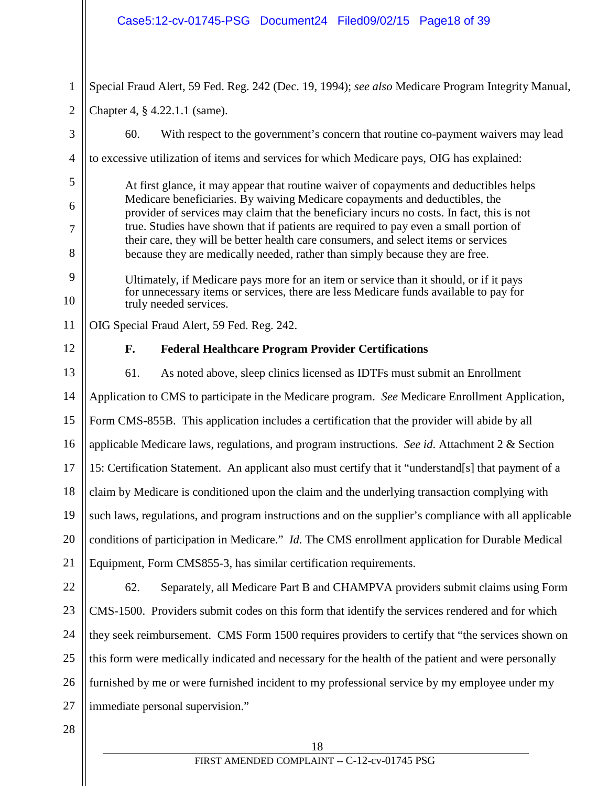|                | Case5:12-cv-01745-PSG Document24 Filed09/02/15 Page18 of 39                                                                                                                                                                                                       |  |  |
|----------------|-------------------------------------------------------------------------------------------------------------------------------------------------------------------------------------------------------------------------------------------------------------------|--|--|
| $\mathbf{1}$   | Special Fraud Alert, 59 Fed. Reg. 242 (Dec. 19, 1994); see also Medicare Program Integrity Manual,                                                                                                                                                                |  |  |
| $\overline{2}$ | Chapter 4, § 4.22.1.1 (same).                                                                                                                                                                                                                                     |  |  |
| 3              | 60.<br>With respect to the government's concern that routine co-payment waivers may lead                                                                                                                                                                          |  |  |
| $\overline{4}$ | to excessive utilization of items and services for which Medicare pays, OIG has explained:                                                                                                                                                                        |  |  |
| 5              | At first glance, it may appear that routine waiver of copayments and deductibles helps                                                                                                                                                                            |  |  |
| 6<br>7         | Medicare beneficiaries. By waiving Medicare copayments and deductibles, the<br>provider of services may claim that the beneficiary incurs no costs. In fact, this is not<br>true. Studies have shown that if patients are required to pay even a small portion of |  |  |
| 8              | their care, they will be better health care consumers, and select items or services<br>because they are medically needed, rather than simply because they are free.                                                                                               |  |  |
| 9              | Ultimately, if Medicare pays more for an item or service than it should, or if it pays                                                                                                                                                                            |  |  |
| 10             | for unnecessary items or services, there are less Medicare funds available to pay for<br>truly needed services.                                                                                                                                                   |  |  |
| 11             | OIG Special Fraud Alert, 59 Fed. Reg. 242.                                                                                                                                                                                                                        |  |  |
| 12             | F.<br><b>Federal Healthcare Program Provider Certifications</b>                                                                                                                                                                                                   |  |  |
| 13             | 61.<br>As noted above, sleep clinics licensed as IDTFs must submit an Enrollment                                                                                                                                                                                  |  |  |
| 14             | Application to CMS to participate in the Medicare program. See Medicare Enrollment Application,                                                                                                                                                                   |  |  |
| 15             | Form CMS-855B. This application includes a certification that the provider will abide by all                                                                                                                                                                      |  |  |
| 16             | applicable Medicare laws, regulations, and program instructions. See id. Attachment 2 & Section                                                                                                                                                                   |  |  |
| 17             | 15: Certification Statement. An applicant also must certify that it "understand[s] that payment of a                                                                                                                                                              |  |  |
| 18             | claim by Medicare is conditioned upon the claim and the underlying transaction complying with                                                                                                                                                                     |  |  |
| 19             | such laws, regulations, and program instructions and on the supplier's compliance with all applicable                                                                                                                                                             |  |  |
| 20             | conditions of participation in Medicare." <i>Id.</i> The CMS enrollment application for Durable Medical                                                                                                                                                           |  |  |
| 21             | Equipment, Form CMS855-3, has similar certification requirements.                                                                                                                                                                                                 |  |  |
| 22             | 62.<br>Separately, all Medicare Part B and CHAMPVA providers submit claims using Form                                                                                                                                                                             |  |  |
| 23             | CMS-1500. Providers submit codes on this form that identify the services rendered and for which                                                                                                                                                                   |  |  |
| 24             | they seek reimbursement. CMS Form 1500 requires providers to certify that "the services shown on                                                                                                                                                                  |  |  |
| 25             | this form were medically indicated and necessary for the health of the patient and were personally                                                                                                                                                                |  |  |
| 26             | furnished by me or were furnished incident to my professional service by my employee under my                                                                                                                                                                     |  |  |
| 27             | immediate personal supervision."                                                                                                                                                                                                                                  |  |  |
| 28             |                                                                                                                                                                                                                                                                   |  |  |
|                | 18                                                                                                                                                                                                                                                                |  |  |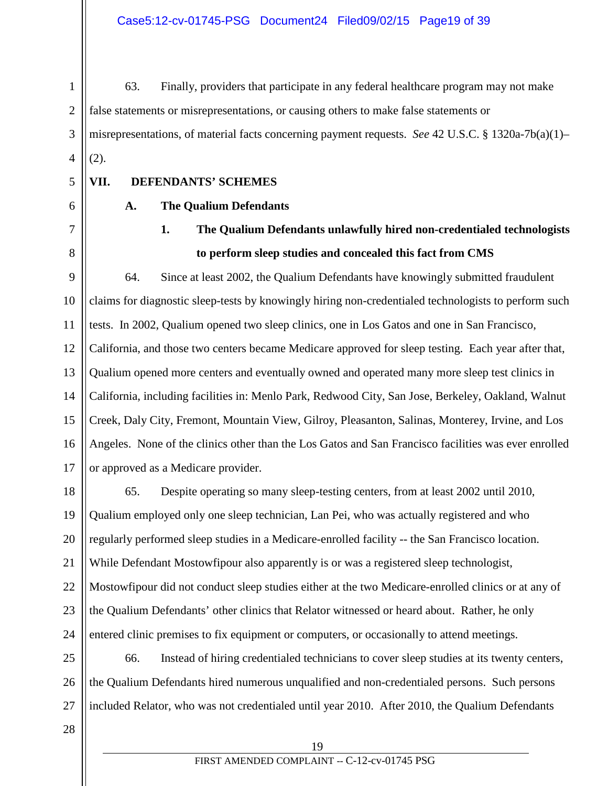63. Finally, providers that participate in any federal healthcare program may not make false statements or misrepresentations, or causing others to make false statements or misrepresentations, of material facts concerning payment requests. *See* 42 U.S.C. § 1320a-7b(a)(1)– (2).

5

6

7

8

1

2

3

4

## **A. The Qualium Defendants**

**VII. DEFENDANTS' SCHEMES**

## **1. The Qualium Defendants unlawfully hired non-credentialed technologists to perform sleep studies and concealed this fact from CMS**

9 10 11 12 13 14 15 16 17 64. Since at least 2002, the Qualium Defendants have knowingly submitted fraudulent claims for diagnostic sleep-tests by knowingly hiring non-credentialed technologists to perform such tests. In 2002, Qualium opened two sleep clinics, one in Los Gatos and one in San Francisco, California, and those two centers became Medicare approved for sleep testing. Each year after that, Qualium opened more centers and eventually owned and operated many more sleep test clinics in California, including facilities in: Menlo Park, Redwood City, San Jose, Berkeley, Oakland, Walnut Creek, Daly City, Fremont, Mountain View, Gilroy, Pleasanton, Salinas, Monterey, Irvine, and Los Angeles. None of the clinics other than the Los Gatos and San Francisco facilities was ever enrolled or approved as a Medicare provider.

18 19 20 21 22 23 24 65. Despite operating so many sleep-testing centers, from at least 2002 until 2010, Qualium employed only one sleep technician, Lan Pei, who was actually registered and who regularly performed sleep studies in a Medicare-enrolled facility -- the San Francisco location. While Defendant Mostowfipour also apparently is or was a registered sleep technologist, Mostowfipour did not conduct sleep studies either at the two Medicare-enrolled clinics or at any of the Qualium Defendants' other clinics that Relator witnessed or heard about. Rather, he only entered clinic premises to fix equipment or computers, or occasionally to attend meetings.

25 26 27 66. Instead of hiring credentialed technicians to cover sleep studies at its twenty centers, the Qualium Defendants hired numerous unqualified and non-credentialed persons. Such persons included Relator, who was not credentialed until year 2010. After 2010, the Qualium Defendants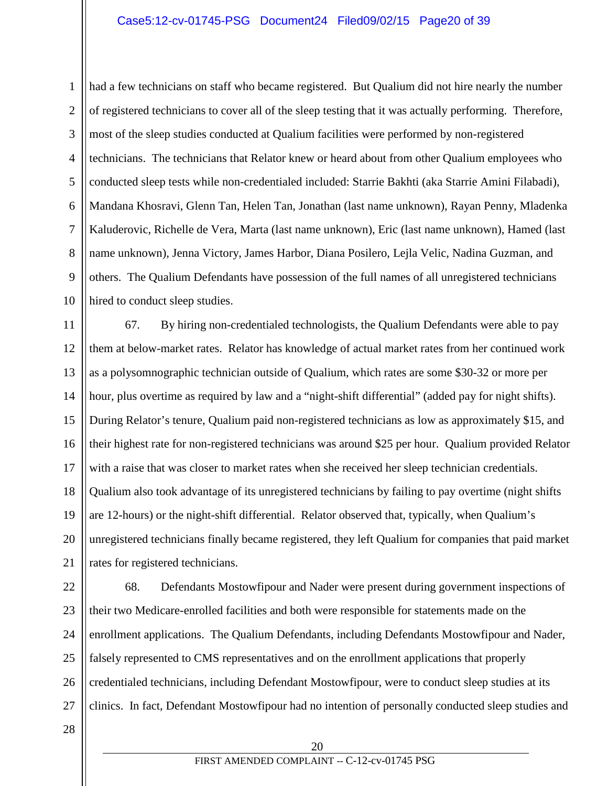#### Case5:12-cv-01745-PSG Document24 Filed09/02/15 Page20 of 39

1 2 3 4 5 6 7 8 9 10 had a few technicians on staff who became registered. But Qualium did not hire nearly the number of registered technicians to cover all of the sleep testing that it was actually performing. Therefore, most of the sleep studies conducted at Qualium facilities were performed by non-registered technicians. The technicians that Relator knew or heard about from other Qualium employees who conducted sleep tests while non-credentialed included: Starrie Bakhti (aka Starrie Amini Filabadi), Mandana Khosravi, Glenn Tan, Helen Tan, Jonathan (last name unknown), Rayan Penny, Mladenka Kaluderovic, Richelle de Vera, Marta (last name unknown), Eric (last name unknown), Hamed (last name unknown), Jenna Victory, James Harbor, Diana Posilero, Lejla Velic, Nadina Guzman, and others. The Qualium Defendants have possession of the full names of all unregistered technicians hired to conduct sleep studies.

11 12 13 14 15 16 17 18 19 20 21 67. By hiring non-credentialed technologists, the Qualium Defendants were able to pay them at below-market rates. Relator has knowledge of actual market rates from her continued work as a polysomnographic technician outside of Qualium, which rates are some \$30-32 or more per hour, plus overtime as required by law and a "night-shift differential" (added pay for night shifts). During Relator's tenure, Qualium paid non-registered technicians as low as approximately \$15, and their highest rate for non-registered technicians was around \$25 per hour. Qualium provided Relator with a raise that was closer to market rates when she received her sleep technician credentials. Qualium also took advantage of its unregistered technicians by failing to pay overtime (night shifts are 12-hours) or the night-shift differential. Relator observed that, typically, when Qualium's unregistered technicians finally became registered, they left Qualium for companies that paid market rates for registered technicians.

22 23 24 25 26 27 68. Defendants Mostowfipour and Nader were present during government inspections of their two Medicare-enrolled facilities and both were responsible for statements made on the enrollment applications. The Qualium Defendants, including Defendants Mostowfipour and Nader, falsely represented to CMS representatives and on the enrollment applications that properly credentialed technicians, including Defendant Mostowfipour, were to conduct sleep studies at its clinics. In fact, Defendant Mostowfipour had no intention of personally conducted sleep studies and

28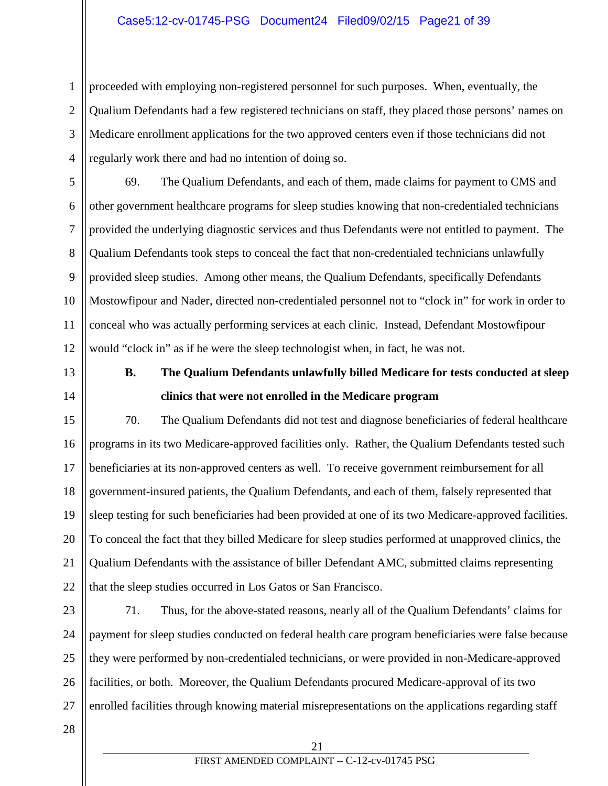### Case5:12-cv-01745-PSG Document24 Filed09/02/15 Page21 of 39

proceeded with employing non-registered personnel for such purposes. When, eventually, the Qualium Defendants had a few registered technicians on staff, they placed those persons' names on Medicare enrollment applications for the two approved centers even if those technicians did not regularly work there and had no intention of doing so.

10 12 69. The Qualium Defendants, and each of them, made claims for payment to CMS and other government healthcare programs for sleep studies knowing that non-credentialed technicians provided the underlying diagnostic services and thus Defendants were not entitled to payment. The Qualium Defendants took steps to conceal the fact that non-credentialed technicians unlawfully provided sleep studies. Among other means, the Qualium Defendants, specifically Defendants Mostowfipour and Nader, directed non-credentialed personnel not to "clock in" for work in order to conceal who was actually performing services at each clinic. Instead, Defendant Mostowfipour would "clock in" as if he were the sleep technologist when, in fact, he was not.

1

2

3

4

5

6

7

8

9

11

13

14

## **B. The Qualium Defendants unlawfully billed Medicare for tests conducted at sleep clinics that were not enrolled in the Medicare program**

15 16 17 18 19 20 21 22 70. The Qualium Defendants did not test and diagnose beneficiaries of federal healthcare programs in its two Medicare-approved facilities only. Rather, the Qualium Defendants tested such beneficiaries at its non-approved centers as well. To receive government reimbursement for all government-insured patients, the Qualium Defendants, and each of them, falsely represented that sleep testing for such beneficiaries had been provided at one of its two Medicare-approved facilities. To conceal the fact that they billed Medicare for sleep studies performed at unapproved clinics, the Qualium Defendants with the assistance of biller Defendant AMC, submitted claims representing that the sleep studies occurred in Los Gatos or San Francisco.

23 24 25 26 27 71. Thus, for the above-stated reasons, nearly all of the Qualium Defendants' claims for payment for sleep studies conducted on federal health care program beneficiaries were false because they were performed by non-credentialed technicians, or were provided in non-Medicare-approved facilities, or both. Moreover, the Qualium Defendants procured Medicare-approval of its two enrolled facilities through knowing material misrepresentations on the applications regarding staff

28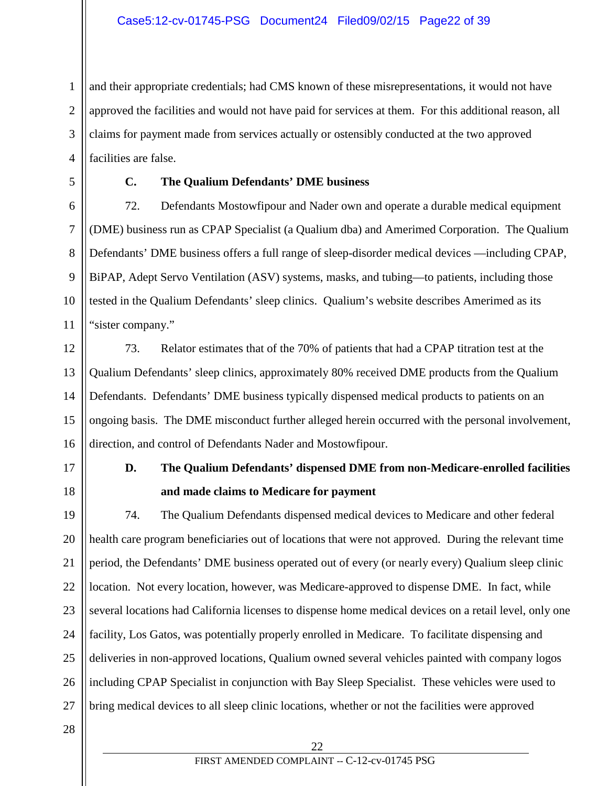1 2 3 4 and their appropriate credentials; had CMS known of these misrepresentations, it would not have approved the facilities and would not have paid for services at them. For this additional reason, all claims for payment made from services actually or ostensibly conducted at the two approved facilities are false.

5

6

7

8

9

10

11

## **C. The Qualium Defendants' DME business**

72. Defendants Mostowfipour and Nader own and operate a durable medical equipment (DME) business run as CPAP Specialist (a Qualium dba) and Amerimed Corporation. The Qualium Defendants' DME business offers a full range of sleep-disorder medical devices —including CPAP, BiPAP, Adept Servo Ventilation (ASV) systems, masks, and tubing—to patients, including those tested in the Qualium Defendants' sleep clinics. Qualium's website describes Amerimed as its "sister company."

12 13 14 15 16 73. Relator estimates that of the 70% of patients that had a CPAP titration test at the Qualium Defendants' sleep clinics, approximately 80% received DME products from the Qualium Defendants. Defendants' DME business typically dispensed medical products to patients on an ongoing basis. The DME misconduct further alleged herein occurred with the personal involvement, direction, and control of Defendants Nader and Mostowfipour.

17

18

## **D. The Qualium Defendants' dispensed DME from non-Medicare-enrolled facilities and made claims to Medicare for payment**

19 20 21 22 23 24 25 26 27 74. The Qualium Defendants dispensed medical devices to Medicare and other federal health care program beneficiaries out of locations that were not approved. During the relevant time period, the Defendants' DME business operated out of every (or nearly every) Qualium sleep clinic location. Not every location, however, was Medicare-approved to dispense DME. In fact, while several locations had California licenses to dispense home medical devices on a retail level, only one facility, Los Gatos, was potentially properly enrolled in Medicare. To facilitate dispensing and deliveries in non-approved locations, Qualium owned several vehicles painted with company logos including CPAP Specialist in conjunction with Bay Sleep Specialist. These vehicles were used to bring medical devices to all sleep clinic locations, whether or not the facilities were approved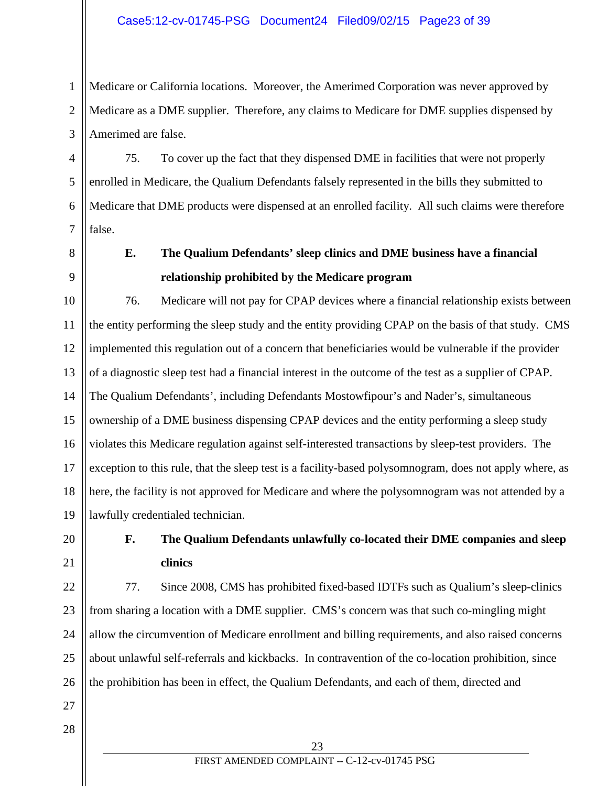1 2 3 Medicare or California locations. Moreover, the Amerimed Corporation was never approved by Medicare as a DME supplier. Therefore, any claims to Medicare for DME supplies dispensed by Amerimed are false.

75. To cover up the fact that they dispensed DME in facilities that were not properly enrolled in Medicare, the Qualium Defendants falsely represented in the bills they submitted to Medicare that DME products were dispensed at an enrolled facility. All such claims were therefore false.

4

5

6

7

8

9

## **E. The Qualium Defendants' sleep clinics and DME business have a financial relationship prohibited by the Medicare program**

10 11 12 13 14 15 16 17 18 19 76. Medicare will not pay for CPAP devices where a financial relationship exists between the entity performing the sleep study and the entity providing CPAP on the basis of that study. CMS implemented this regulation out of a concern that beneficiaries would be vulnerable if the provider of a diagnostic sleep test had a financial interest in the outcome of the test as a supplier of CPAP. The Qualium Defendants', including Defendants Mostowfipour's and Nader's, simultaneous ownership of a DME business dispensing CPAP devices and the entity performing a sleep study violates this Medicare regulation against self-interested transactions by sleep-test providers. The exception to this rule, that the sleep test is a facility-based polysomnogram, does not apply where, as here, the facility is not approved for Medicare and where the polysomnogram was not attended by a lawfully credentialed technician.

20

21

## **F. The Qualium Defendants unlawfully co-located their DME companies and sleep clinics**

22 23 24 25 26 77. Since 2008, CMS has prohibited fixed-based IDTFs such as Qualium's sleep-clinics from sharing a location with a DME supplier. CMS's concern was that such co-mingling might allow the circumvention of Medicare enrollment and billing requirements, and also raised concerns about unlawful self-referrals and kickbacks. In contravention of the co-location prohibition, since the prohibition has been in effect, the Qualium Defendants, and each of them, directed and

28

27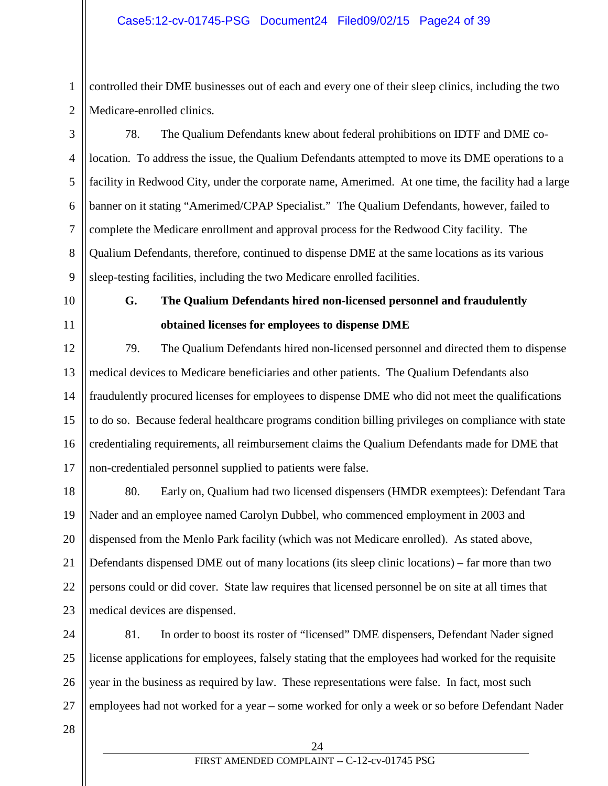controlled their DME businesses out of each and every one of their sleep clinics, including the two Medicare-enrolled clinics.

6 78. The Qualium Defendants knew about federal prohibitions on IDTF and DME colocation. To address the issue, the Qualium Defendants attempted to move its DME operations to a facility in Redwood City, under the corporate name, Amerimed. At one time, the facility had a large banner on it stating "Amerimed/CPAP Specialist." The Qualium Defendants, however, failed to complete the Medicare enrollment and approval process for the Redwood City facility. The Qualium Defendants, therefore, continued to dispense DME at the same locations as its various sleep-testing facilities, including the two Medicare enrolled facilities.

10

1

2

3

4

5

7

8

9

11

## **G. The Qualium Defendants hired non-licensed personnel and fraudulently obtained licenses for employees to dispense DME**

12 13 14 15 16 17 79. The Qualium Defendants hired non-licensed personnel and directed them to dispense medical devices to Medicare beneficiaries and other patients. The Qualium Defendants also fraudulently procured licenses for employees to dispense DME who did not meet the qualifications to do so. Because federal healthcare programs condition billing privileges on compliance with state credentialing requirements, all reimbursement claims the Qualium Defendants made for DME that non-credentialed personnel supplied to patients were false.

18 19 20 21 22 23 80. Early on, Qualium had two licensed dispensers (HMDR exemptees): Defendant Tara Nader and an employee named Carolyn Dubbel, who commenced employment in 2003 and dispensed from the Menlo Park facility (which was not Medicare enrolled). As stated above, Defendants dispensed DME out of many locations (its sleep clinic locations) – far more than two persons could or did cover. State law requires that licensed personnel be on site at all times that medical devices are dispensed.

24 25 26 27 81. In order to boost its roster of "licensed" DME dispensers, Defendant Nader signed license applications for employees, falsely stating that the employees had worked for the requisite year in the business as required by law. These representations were false. In fact, most such employees had not worked for a year – some worked for only a week or so before Defendant Nader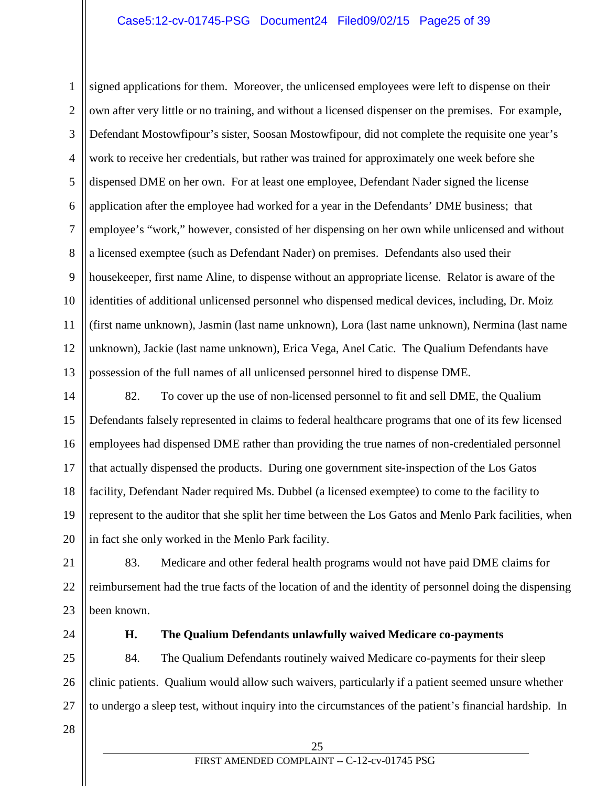### Case5:12-cv-01745-PSG Document24 Filed09/02/15 Page25 of 39

1 2 3 4 5 6 7 8 9 10 11 12 13 signed applications for them. Moreover, the unlicensed employees were left to dispense on their own after very little or no training, and without a licensed dispenser on the premises. For example, Defendant Mostowfipour's sister, Soosan Mostowfipour, did not complete the requisite one year's work to receive her credentials, but rather was trained for approximately one week before she dispensed DME on her own. For at least one employee, Defendant Nader signed the license application after the employee had worked for a year in the Defendants' DME business; that employee's "work," however, consisted of her dispensing on her own while unlicensed and without a licensed exemptee (such as Defendant Nader) on premises. Defendants also used their housekeeper, first name Aline, to dispense without an appropriate license. Relator is aware of the identities of additional unlicensed personnel who dispensed medical devices, including, Dr. Moiz (first name unknown), Jasmin (last name unknown), Lora (last name unknown), Nermina (last name unknown), Jackie (last name unknown), Erica Vega, Anel Catic. The Qualium Defendants have possession of the full names of all unlicensed personnel hired to dispense DME.

14 15 16 17 18 19 20 82. To cover up the use of non-licensed personnel to fit and sell DME, the Qualium Defendants falsely represented in claims to federal healthcare programs that one of its few licensed employees had dispensed DME rather than providing the true names of non-credentialed personnel that actually dispensed the products. During one government site-inspection of the Los Gatos facility, Defendant Nader required Ms. Dubbel (a licensed exemptee) to come to the facility to represent to the auditor that she split her time between the Los Gatos and Menlo Park facilities, when in fact she only worked in the Menlo Park facility.

21 22 23 83. Medicare and other federal health programs would not have paid DME claims for reimbursement had the true facts of the location of and the identity of personnel doing the dispensing been known.

24

#### **H. The Qualium Defendants unlawfully waived Medicare co-payments**

25 26 27 84. The Qualium Defendants routinely waived Medicare co-payments for their sleep clinic patients. Qualium would allow such waivers, particularly if a patient seemed unsure whether to undergo a sleep test, without inquiry into the circumstances of the patient's financial hardship. In

28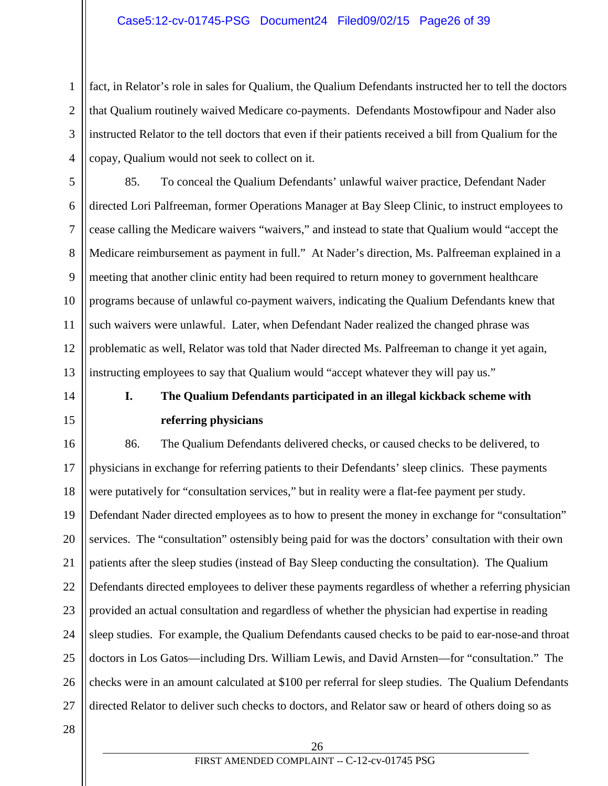fact, in Relator's role in sales for Qualium, the Qualium Defendants instructed her to tell the doctors that Qualium routinely waived Medicare co-payments. Defendants Mostowfipour and Nader also instructed Relator to the tell doctors that even if their patients received a bill from Qualium for the copay, Qualium would not seek to collect on it.

5 6 7 8 9 10 11 12 13 85. To conceal the Qualium Defendants' unlawful waiver practice, Defendant Nader directed Lori Palfreeman, former Operations Manager at Bay Sleep Clinic, to instruct employees to cease calling the Medicare waivers "waivers," and instead to state that Qualium would "accept the Medicare reimbursement as payment in full." At Nader's direction, Ms. Palfreeman explained in a meeting that another clinic entity had been required to return money to government healthcare programs because of unlawful co-payment waivers, indicating the Qualium Defendants knew that such waivers were unlawful. Later, when Defendant Nader realized the changed phrase was problematic as well, Relator was told that Nader directed Ms. Palfreeman to change it yet again, instructing employees to say that Qualium would "accept whatever they will pay us."

## 14 15

1

2

3

4

## **I. The Qualium Defendants participated in an illegal kickback scheme with referring physicians**

16 17 18 19 20 21 22 23 24 25 26 27 86. The Qualium Defendants delivered checks, or caused checks to be delivered, to physicians in exchange for referring patients to their Defendants' sleep clinics. These payments were putatively for "consultation services," but in reality were a flat-fee payment per study. Defendant Nader directed employees as to how to present the money in exchange for "consultation" services. The "consultation" ostensibly being paid for was the doctors' consultation with their own patients after the sleep studies (instead of Bay Sleep conducting the consultation). The Qualium Defendants directed employees to deliver these payments regardless of whether a referring physician provided an actual consultation and regardless of whether the physician had expertise in reading sleep studies. For example, the Qualium Defendants caused checks to be paid to ear-nose-and throat doctors in Los Gatos—including Drs. William Lewis, and David Arnsten—for "consultation." The checks were in an amount calculated at \$100 per referral for sleep studies. The Qualium Defendants directed Relator to deliver such checks to doctors, and Relator saw or heard of others doing so as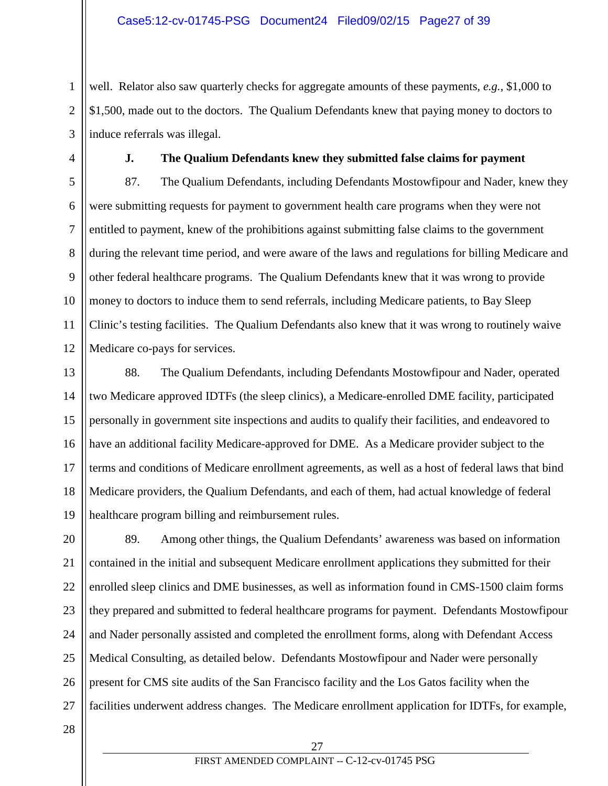well. Relator also saw quarterly checks for aggregate amounts of these payments, *e.g.*, \$1,000 to \$1,500, made out to the doctors. The Qualium Defendants knew that paying money to doctors to induce referrals was illegal.

1

2

3

4

### **J. The Qualium Defendants knew they submitted false claims for payment**

5 6 7 8 9 10 11 12 87. The Qualium Defendants, including Defendants Mostowfipour and Nader, knew they were submitting requests for payment to government health care programs when they were not entitled to payment, knew of the prohibitions against submitting false claims to the government during the relevant time period, and were aware of the laws and regulations for billing Medicare and other federal healthcare programs. The Qualium Defendants knew that it was wrong to provide money to doctors to induce them to send referrals, including Medicare patients, to Bay Sleep Clinic's testing facilities. The Qualium Defendants also knew that it was wrong to routinely waive Medicare co-pays for services.

13 14 15 16 17 18 19 88. The Qualium Defendants, including Defendants Mostowfipour and Nader, operated two Medicare approved IDTFs (the sleep clinics), a Medicare-enrolled DME facility, participated personally in government site inspections and audits to qualify their facilities, and endeavored to have an additional facility Medicare-approved for DME. As a Medicare provider subject to the terms and conditions of Medicare enrollment agreements, as well as a host of federal laws that bind Medicare providers, the Qualium Defendants, and each of them, had actual knowledge of federal healthcare program billing and reimbursement rules.

20 21 22 23 24 25 26 27 89. Among other things, the Qualium Defendants' awareness was based on information contained in the initial and subsequent Medicare enrollment applications they submitted for their enrolled sleep clinics and DME businesses, as well as information found in CMS-1500 claim forms they prepared and submitted to federal healthcare programs for payment. Defendants Mostowfipour and Nader personally assisted and completed the enrollment forms, along with Defendant Access Medical Consulting, as detailed below. Defendants Mostowfipour and Nader were personally present for CMS site audits of the San Francisco facility and the Los Gatos facility when the facilities underwent address changes. The Medicare enrollment application for IDTFs, for example,

28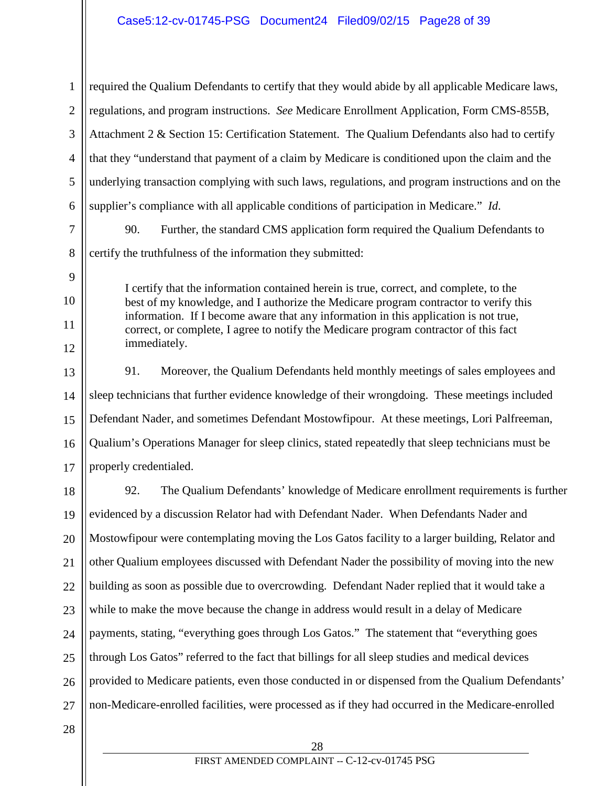1 2 3 4 5 6 7 8 9 10 11 12 13 14 15 16 17 18 19 20 21 22 23 24 25 26 27 28 required the Qualium Defendants to certify that they would abide by all applicable Medicare laws, regulations, and program instructions. *See* Medicare Enrollment Application, Form CMS-855B, Attachment 2 & Section 15: Certification Statement. The Qualium Defendants also had to certify that they "understand that payment of a claim by Medicare is conditioned upon the claim and the underlying transaction complying with such laws, regulations, and program instructions and on the supplier's compliance with all applicable conditions of participation in Medicare." *Id*. 90. Further, the standard CMS application form required the Qualium Defendants to certify the truthfulness of the information they submitted: I certify that the information contained herein is true, correct, and complete, to the best of my knowledge, and I authorize the Medicare program contractor to verify this information. If I become aware that any information in this application is not true, correct, or complete, I agree to notify the Medicare program contractor of this fact immediately. 91. Moreover, the Qualium Defendants held monthly meetings of sales employees and sleep technicians that further evidence knowledge of their wrongdoing. These meetings included Defendant Nader, and sometimes Defendant Mostowfipour. At these meetings, Lori Palfreeman, Qualium's Operations Manager for sleep clinics, stated repeatedly that sleep technicians must be properly credentialed. 92. The Qualium Defendants' knowledge of Medicare enrollment requirements is further evidenced by a discussion Relator had with Defendant Nader. When Defendants Nader and Mostowfipour were contemplating moving the Los Gatos facility to a larger building, Relator and other Qualium employees discussed with Defendant Nader the possibility of moving into the new building as soon as possible due to overcrowding. Defendant Nader replied that it would take a while to make the move because the change in address would result in a delay of Medicare payments, stating, "everything goes through Los Gatos." The statement that "everything goes through Los Gatos" referred to the fact that billings for all sleep studies and medical devices provided to Medicare patients, even those conducted in or dispensed from the Qualium Defendants' non-Medicare-enrolled facilities, were processed as if they had occurred in the Medicare-enrolled 28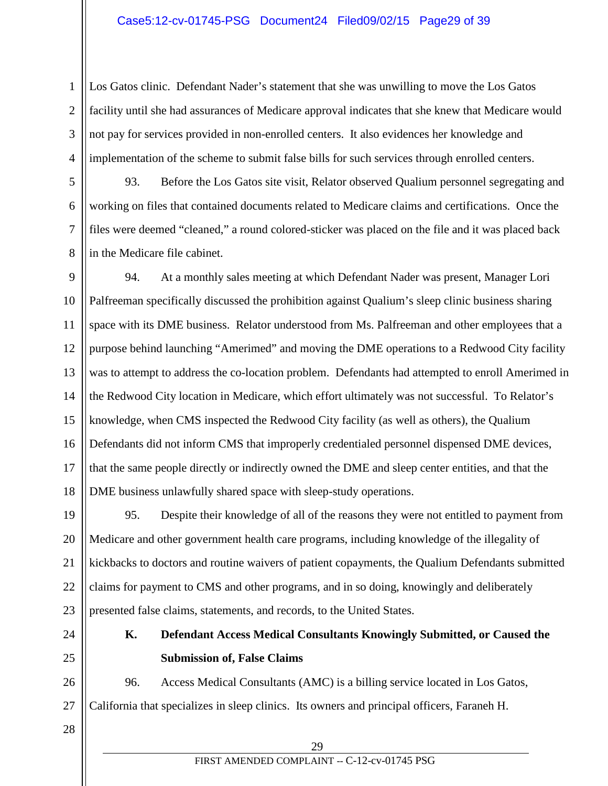### Case5:12-cv-01745-PSG Document24 Filed09/02/15 Page29 of 39

Los Gatos clinic. Defendant Nader's statement that she was unwilling to move the Los Gatos facility until she had assurances of Medicare approval indicates that she knew that Medicare would not pay for services provided in non-enrolled centers. It also evidences her knowledge and implementation of the scheme to submit false bills for such services through enrolled centers.

93. Before the Los Gatos site visit, Relator observed Qualium personnel segregating and working on files that contained documents related to Medicare claims and certifications. Once the files were deemed "cleaned," a round colored-sticker was placed on the file and it was placed back in the Medicare file cabinet.

9 10 11 12 13 14 15 16 17 18 94. At a monthly sales meeting at which Defendant Nader was present, Manager Lori Palfreeman specifically discussed the prohibition against Qualium's sleep clinic business sharing space with its DME business. Relator understood from Ms. Palfreeman and other employees that a purpose behind launching "Amerimed" and moving the DME operations to a Redwood City facility was to attempt to address the co-location problem. Defendants had attempted to enroll Amerimed in the Redwood City location in Medicare, which effort ultimately was not successful. To Relator's knowledge, when CMS inspected the Redwood City facility (as well as others), the Qualium Defendants did not inform CMS that improperly credentialed personnel dispensed DME devices, that the same people directly or indirectly owned the DME and sleep center entities, and that the DME business unlawfully shared space with sleep-study operations.

19 20 21 22 23 95. Despite their knowledge of all of the reasons they were not entitled to payment from Medicare and other government health care programs, including knowledge of the illegality of kickbacks to doctors and routine waivers of patient copayments, the Qualium Defendants submitted claims for payment to CMS and other programs, and in so doing, knowingly and deliberately presented false claims, statements, and records, to the United States.

24 25

1

2

3

4

5

6

7

8

**K. Defendant Access Medical Consultants Knowingly Submitted, or Caused the Submission of, False Claims**

26 27 96. Access Medical Consultants (AMC) is a billing service located in Los Gatos, California that specializes in sleep clinics. Its owners and principal officers, Faraneh H.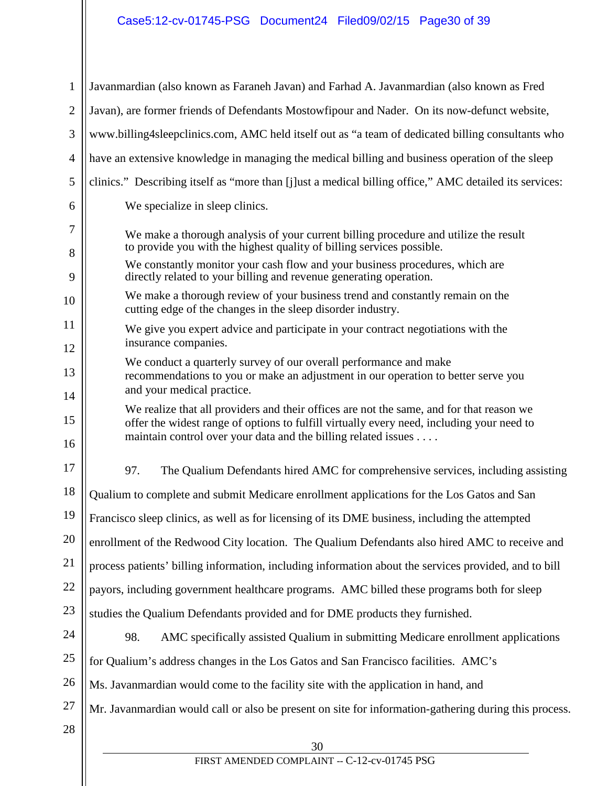# Case5:12-cv-01745-PSG Document24 Filed09/02/15 Page30 of 39

| $\mathbf{1}$ | Javanmardian (also known as Faraneh Javan) and Farhad A. Javanmardian (also known as Fred                                                                                             |  |  |
|--------------|---------------------------------------------------------------------------------------------------------------------------------------------------------------------------------------|--|--|
| $\mathbf{2}$ | Javan), are former friends of Defendants Mostowfipour and Nader. On its now-defunct website,                                                                                          |  |  |
| 3            | www.billing4sleepclinics.com, AMC held itself out as "a team of dedicated billing consultants who                                                                                     |  |  |
| 4            | have an extensive knowledge in managing the medical billing and business operation of the sleep                                                                                       |  |  |
| 5            | clinics." Describing itself as "more than [j]ust a medical billing office," AMC detailed its services:                                                                                |  |  |
| 6            | We specialize in sleep clinics.                                                                                                                                                       |  |  |
| 7<br>8       | We make a thorough analysis of your current billing procedure and utilize the result<br>to provide you with the highest quality of billing services possible.                         |  |  |
| 9            | We constantly monitor your cash flow and your business procedures, which are<br>directly related to your billing and revenue generating operation.                                    |  |  |
| 10           | We make a thorough review of your business trend and constantly remain on the<br>cutting edge of the changes in the sleep disorder industry.                                          |  |  |
| 11<br>12     | We give you expert advice and participate in your contract negotiations with the<br>insurance companies.                                                                              |  |  |
| 13           | We conduct a quarterly survey of our overall performance and make<br>recommendations to you or make an adjustment in our operation to better serve you                                |  |  |
| 14           | and your medical practice.                                                                                                                                                            |  |  |
| 15           | We realize that all providers and their offices are not the same, and for that reason we<br>offer the widest range of options to fulfill virtually every need, including your need to |  |  |
| 16           | maintain control over your data and the billing related issues                                                                                                                        |  |  |
| 17           | 97.<br>The Qualium Defendants hired AMC for comprehensive services, including assisting                                                                                               |  |  |
| 18           | Qualium to complete and submit Medicare enrollment applications for the Los Gatos and San                                                                                             |  |  |
| 19           | Francisco sleep clinics, as well as for licensing of its DME business, including the attempted                                                                                        |  |  |
| 20           | enrollment of the Redwood City location. The Qualium Defendants also hired AMC to receive and                                                                                         |  |  |
| 21           | process patients' billing information, including information about the services provided, and to bill                                                                                 |  |  |
| 22           | payors, including government healthcare programs. AMC billed these programs both for sleep                                                                                            |  |  |
| 23           | studies the Qualium Defendants provided and for DME products they furnished.                                                                                                          |  |  |
| 24           | 98.<br>AMC specifically assisted Qualium in submitting Medicare enrollment applications                                                                                               |  |  |
| 25           | for Qualium's address changes in the Los Gatos and San Francisco facilities. AMC's                                                                                                    |  |  |
| 26           | Ms. Javanmardian would come to the facility site with the application in hand, and                                                                                                    |  |  |
| 27           | Mr. Javanmardian would call or also be present on site for information-gathering during this process.                                                                                 |  |  |
| 28           | 30                                                                                                                                                                                    |  |  |
|              | FIRST AMENDED COMPLAINT -- C-12-cv-01745 PSG                                                                                                                                          |  |  |
|              |                                                                                                                                                                                       |  |  |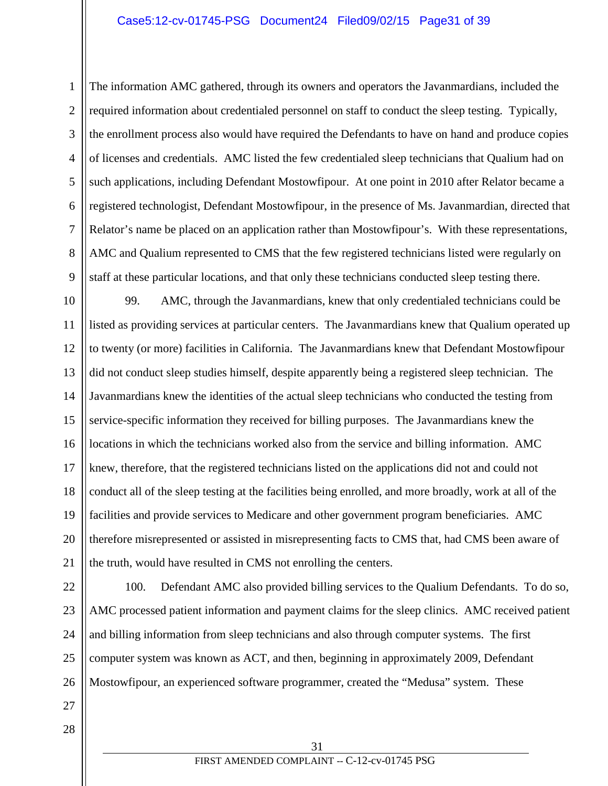### Case5:12-cv-01745-PSG Document24 Filed09/02/15 Page31 of 39

4

1

2

3

5

6

7

8

9

The information AMC gathered, through its owners and operators the Javanmardians, included the required information about credentialed personnel on staff to conduct the sleep testing. Typically, the enrollment process also would have required the Defendants to have on hand and produce copies of licenses and credentials. AMC listed the few credentialed sleep technicians that Qualium had on such applications, including Defendant Mostowfipour. At one point in 2010 after Relator became a registered technologist, Defendant Mostowfipour, in the presence of Ms. Javanmardian, directed that Relator's name be placed on an application rather than Mostowfipour's. With these representations, AMC and Qualium represented to CMS that the few registered technicians listed were regularly on staff at these particular locations, and that only these technicians conducted sleep testing there.

10 11 12 13 14 15 16 17 18 19 20 21 99. AMC, through the Javanmardians, knew that only credentialed technicians could be listed as providing services at particular centers. The Javanmardians knew that Qualium operated up to twenty (or more) facilities in California. The Javanmardians knew that Defendant Mostowfipour did not conduct sleep studies himself, despite apparently being a registered sleep technician. The Javanmardians knew the identities of the actual sleep technicians who conducted the testing from service-specific information they received for billing purposes. The Javanmardians knew the locations in which the technicians worked also from the service and billing information. AMC knew, therefore, that the registered technicians listed on the applications did not and could not conduct all of the sleep testing at the facilities being enrolled, and more broadly, work at all of the facilities and provide services to Medicare and other government program beneficiaries. AMC therefore misrepresented or assisted in misrepresenting facts to CMS that, had CMS been aware of the truth, would have resulted in CMS not enrolling the centers.

22 23 24 25 26 100. Defendant AMC also provided billing services to the Qualium Defendants. To do so, AMC processed patient information and payment claims for the sleep clinics. AMC received patient and billing information from sleep technicians and also through computer systems. The first computer system was known as ACT, and then, beginning in approximately 2009, Defendant Mostowfipour, an experienced software programmer, created the "Medusa" system. These

28

27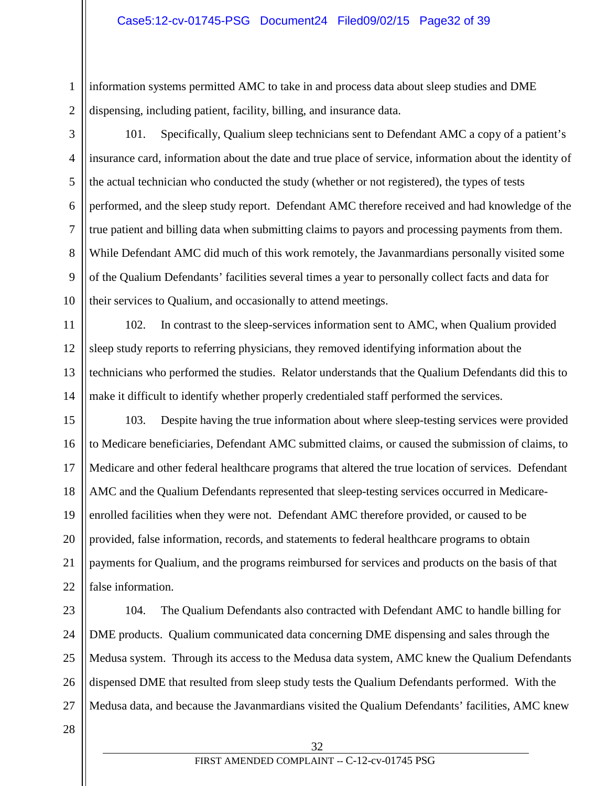information systems permitted AMC to take in and process data about sleep studies and DME dispensing, including patient, facility, billing, and insurance data.

1

2

3

4

5

6

7

8

9

10

101. Specifically, Qualium sleep technicians sent to Defendant AMC a copy of a patient's insurance card, information about the date and true place of service, information about the identity of the actual technician who conducted the study (whether or not registered), the types of tests performed, and the sleep study report. Defendant AMC therefore received and had knowledge of the true patient and billing data when submitting claims to payors and processing payments from them. While Defendant AMC did much of this work remotely, the Javanmardians personally visited some of the Qualium Defendants' facilities several times a year to personally collect facts and data for their services to Qualium, and occasionally to attend meetings.

11 12 13 14 102. In contrast to the sleep-services information sent to AMC, when Qualium provided sleep study reports to referring physicians, they removed identifying information about the technicians who performed the studies. Relator understands that the Qualium Defendants did this to make it difficult to identify whether properly credentialed staff performed the services.

15 16 17 18 19 20 21 22 103. Despite having the true information about where sleep-testing services were provided to Medicare beneficiaries, Defendant AMC submitted claims, or caused the submission of claims, to Medicare and other federal healthcare programs that altered the true location of services. Defendant AMC and the Qualium Defendants represented that sleep-testing services occurred in Medicareenrolled facilities when they were not. Defendant AMC therefore provided, or caused to be provided, false information, records, and statements to federal healthcare programs to obtain payments for Qualium, and the programs reimbursed for services and products on the basis of that false information.

23 24 25 26 27 104. The Qualium Defendants also contracted with Defendant AMC to handle billing for DME products. Qualium communicated data concerning DME dispensing and sales through the Medusa system. Through its access to the Medusa data system, AMC knew the Qualium Defendants dispensed DME that resulted from sleep study tests the Qualium Defendants performed. With the Medusa data, and because the Javanmardians visited the Qualium Defendants' facilities, AMC knew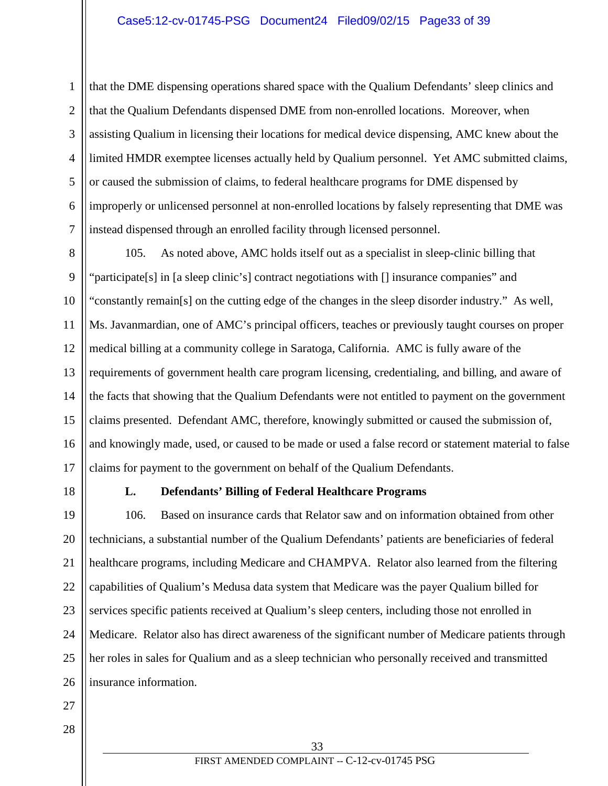that the DME dispensing operations shared space with the Qualium Defendants' sleep clinics and that the Qualium Defendants dispensed DME from non-enrolled locations. Moreover, when assisting Qualium in licensing their locations for medical device dispensing, AMC knew about the limited HMDR exemptee licenses actually held by Qualium personnel. Yet AMC submitted claims, or caused the submission of claims, to federal healthcare programs for DME dispensed by improperly or unlicensed personnel at non-enrolled locations by falsely representing that DME was instead dispensed through an enrolled facility through licensed personnel.

8 9 10 11 12 13 14 15 16 17 105. As noted above, AMC holds itself out as a specialist in sleep-clinic billing that "participate[s] in [a sleep clinic's] contract negotiations with [] insurance companies" and "constantly remain[s] on the cutting edge of the changes in the sleep disorder industry." As well, Ms. Javanmardian, one of AMC's principal officers, teaches or previously taught courses on proper medical billing at a community college in Saratoga, California. AMC is fully aware of the requirements of government health care program licensing, credentialing, and billing, and aware of the facts that showing that the Qualium Defendants were not entitled to payment on the government claims presented. Defendant AMC, therefore, knowingly submitted or caused the submission of, and knowingly made, used, or caused to be made or used a false record or statement material to false claims for payment to the government on behalf of the Qualium Defendants.

18

1

2

3

4

5

6

7

## **L. Defendants' Billing of Federal Healthcare Programs**

19 20 21 22 23 24 25 26 106. Based on insurance cards that Relator saw and on information obtained from other technicians, a substantial number of the Qualium Defendants' patients are beneficiaries of federal healthcare programs, including Medicare and CHAMPVA. Relator also learned from the filtering capabilities of Qualium's Medusa data system that Medicare was the payer Qualium billed for services specific patients received at Qualium's sleep centers, including those not enrolled in Medicare. Relator also has direct awareness of the significant number of Medicare patients through her roles in sales for Qualium and as a sleep technician who personally received and transmitted insurance information.

27 28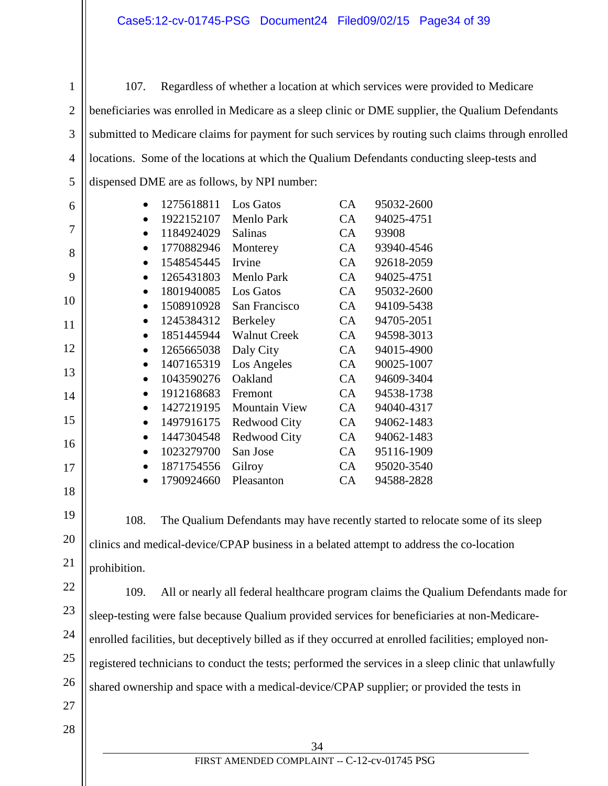1 2

3

4

5

6

7

8

9

10

11

12

13

14

15

16

17

18

19

20

21

107. Regardless of whether a location at which services were provided to Medicare beneficiaries was enrolled in Medicare as a sleep clinic or DME supplier, the Qualium Defendants submitted to Medicare claims for payment for such services by routing such claims through enrolled locations. Some of the locations at which the Qualium Defendants conducting sleep-tests and dispensed DME are as follows, by NPI number:

| 1275618811 | Los Gatos            | CA.       | 95032-2600 |
|------------|----------------------|-----------|------------|
| 1922152107 | <b>Menlo Park</b>    | CA        | 94025-4751 |
| 1184924029 | <b>Salinas</b>       | CA        | 93908      |
| 1770882946 | Monterey             | CA        | 93940-4546 |
| 1548545445 | Irvine               | CA        | 92618-2059 |
| 1265431803 | <b>Menlo Park</b>    | CA        | 94025-4751 |
| 1801940085 | Los Gatos            | CA        | 95032-2600 |
| 1508910928 | San Francisco        | CA        | 94109-5438 |
| 1245384312 | <b>Berkeley</b>      | <b>CA</b> | 94705-2051 |
| 1851445944 | <b>Walnut Creek</b>  | CA        | 94598-3013 |
| 1265665038 | Daly City            | CA        | 94015-4900 |
| 1407165319 | Los Angeles          | CA        | 90025-1007 |
| 1043590276 | Oakland              | CA        | 94609-3404 |
| 1912168683 | Fremont              | CA        | 94538-1738 |
| 1427219195 | <b>Mountain View</b> | CA        | 94040-4317 |
| 1497916175 | Redwood City         | CA        | 94062-1483 |
| 1447304548 | Redwood City         | CA        | 94062-1483 |
| 1023279700 | San Jose             | CA        | 95116-1909 |
| 1871754556 | Gilroy               | CA        | 95020-3540 |
| 1790924660 | Pleasanton           | CA        | 94588-2828 |
|            |                      |           |            |

108. The Qualium Defendants may have recently started to relocate some of its sleep clinics and medical-device/CPAP business in a belated attempt to address the co-location prohibition.

22 23

28

24 25 26 27 109. All or nearly all federal healthcare program claims the Qualium Defendants made for sleep-testing were false because Qualium provided services for beneficiaries at non-Medicareenrolled facilities, but deceptively billed as if they occurred at enrolled facilities; employed nonregistered technicians to conduct the tests; performed the services in a sleep clinic that unlawfully shared ownership and space with a medical-device/CPAP supplier; or provided the tests in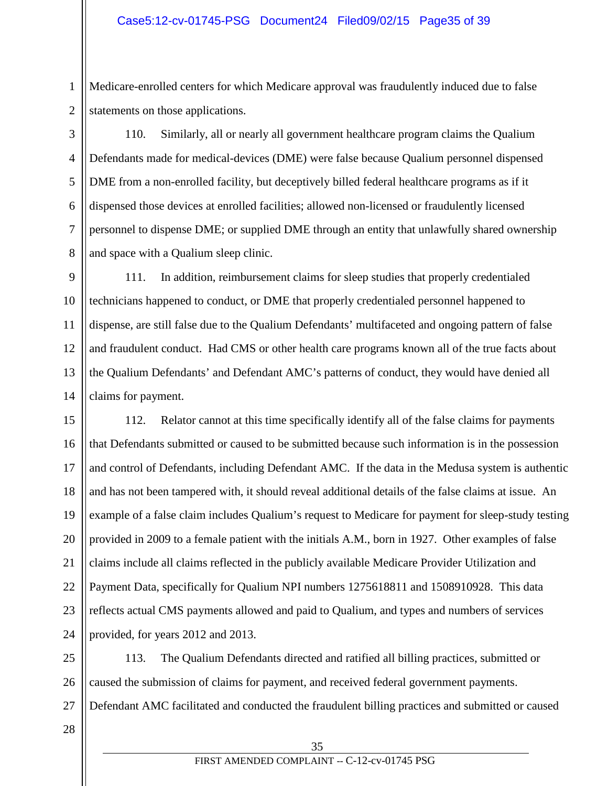Medicare-enrolled centers for which Medicare approval was fraudulently induced due to false statements on those applications.

110. Similarly, all or nearly all government healthcare program claims the Qualium Defendants made for medical-devices (DME) were false because Qualium personnel dispensed DME from a non-enrolled facility, but deceptively billed federal healthcare programs as if it dispensed those devices at enrolled facilities; allowed non-licensed or fraudulently licensed personnel to dispense DME; or supplied DME through an entity that unlawfully shared ownership and space with a Qualium sleep clinic.

9 10 11 12 13 14 111. In addition, reimbursement claims for sleep studies that properly credentialed technicians happened to conduct, or DME that properly credentialed personnel happened to dispense, are still false due to the Qualium Defendants' multifaceted and ongoing pattern of false and fraudulent conduct. Had CMS or other health care programs known all of the true facts about the Qualium Defendants' and Defendant AMC's patterns of conduct, they would have denied all claims for payment.

15 16 17 18 19 20 21 22 23 24 112. Relator cannot at this time specifically identify all of the false claims for payments that Defendants submitted or caused to be submitted because such information is in the possession and control of Defendants, including Defendant AMC. If the data in the Medusa system is authentic and has not been tampered with, it should reveal additional details of the false claims at issue. An example of a false claim includes Qualium's request to Medicare for payment for sleep-study testing provided in 2009 to a female patient with the initials A.M., born in 1927. Other examples of false claims include all claims reflected in the publicly available Medicare Provider Utilization and Payment Data, specifically for Qualium NPI numbers 1275618811 and 1508910928. This data reflects actual CMS payments allowed and paid to Qualium, and types and numbers of services provided, for years 2012 and 2013.

25 26 27 113. The Qualium Defendants directed and ratified all billing practices, submitted or caused the submission of claims for payment, and received federal government payments. Defendant AMC facilitated and conducted the fraudulent billing practices and submitted or caused

28

1

2

3

4

5

6

7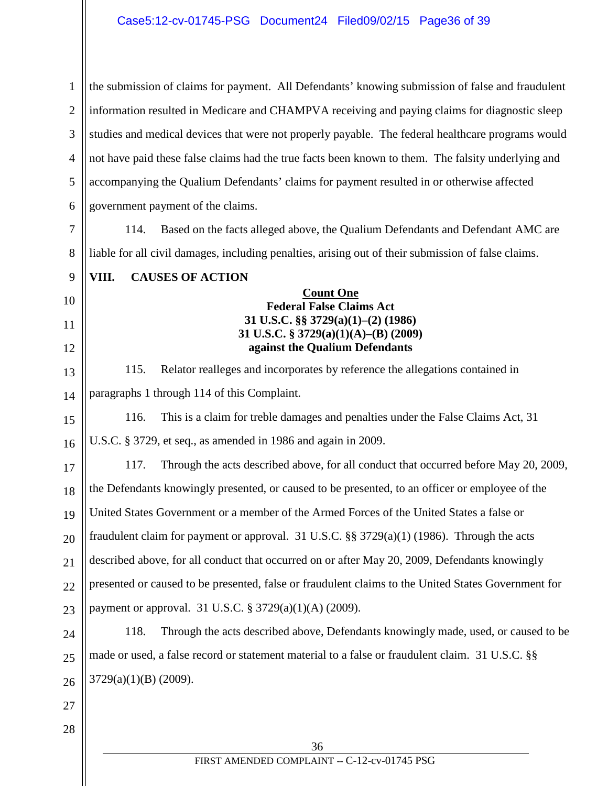1 2 3 4 5 6 7 the submission of claims for payment. All Defendants' knowing submission of false and fraudulent information resulted in Medicare and CHAMPVA receiving and paying claims for diagnostic sleep studies and medical devices that were not properly payable. The federal healthcare programs would not have paid these false claims had the true facts been known to them. The falsity underlying and accompanying the Qualium Defendants' claims for payment resulted in or otherwise affected government payment of the claims. 114. Based on the facts alleged above, the Qualium Defendants and Defendant AMC are

liable for all civil damages, including penalties, arising out of their submission of false claims.

**VIII. CAUSES OF ACTION**

## **Count One Federal False Claims Act 31 U.S.C. §§ 3729(a)(1)–(2) (1986) 31 U.S.C. § 3729(a)(1)(A)–(B) (2009) against the Qualium Defendants**

115. Relator realleges and incorporates by reference the allegations contained in paragraphs 1 through 114 of this Complaint.

15 16 116. This is a claim for treble damages and penalties under the False Claims Act, 31 U.S.C. § 3729, et seq., as amended in 1986 and again in 2009.

17 18 19 20 21 22 23 117. Through the acts described above, for all conduct that occurred before May 20, 2009, the Defendants knowingly presented, or caused to be presented, to an officer or employee of the United States Government or a member of the Armed Forces of the United States a false or fraudulent claim for payment or approval. 31 U.S.C. §§ 3729(a)(1) (1986). Through the acts described above, for all conduct that occurred on or after May 20, 2009, Defendants knowingly presented or caused to be presented, false or fraudulent claims to the United States Government for payment or approval. 31 U.S.C. § 3729(a)(1)(A) (2009).

24 25 26 118. Through the acts described above, Defendants knowingly made, used, or caused to be made or used, a false record or statement material to a false or fraudulent claim. 31 U.S.C. §§ 3729(a)(1)(B) (2009).

27 28

8

9

10

11

12

13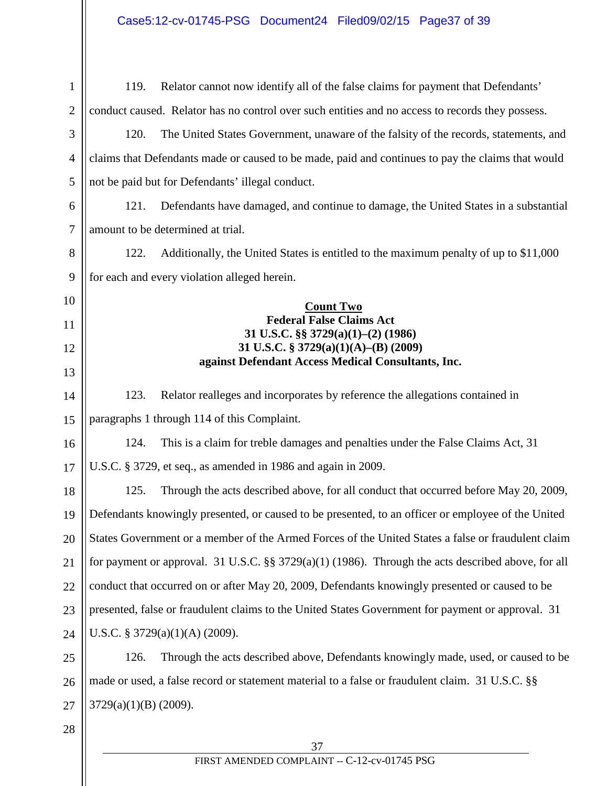| $\mathbf{1}$   | Relator cannot now identify all of the false claims for payment that Defendants'<br>119.               |  |  |
|----------------|--------------------------------------------------------------------------------------------------------|--|--|
| $\overline{2}$ | conduct caused. Relator has no control over such entities and no access to records they possess.       |  |  |
| 3              | 120.<br>The United States Government, unaware of the falsity of the records, statements, and           |  |  |
| $\overline{4}$ | claims that Defendants made or caused to be made, paid and continues to pay the claims that would      |  |  |
| 5              | not be paid but for Defendants' illegal conduct.                                                       |  |  |
| 6              | Defendants have damaged, and continue to damage, the United States in a substantial<br>121.            |  |  |
| $\tau$         | amount to be determined at trial.                                                                      |  |  |
| 8              | Additionally, the United States is entitled to the maximum penalty of up to \$11,000<br>122.           |  |  |
| 9              | for each and every violation alleged herein.                                                           |  |  |
| 10             | <b>Count Two</b>                                                                                       |  |  |
| 11             | <b>Federal False Claims Act</b><br>31 U.S.C. §§ 3729(a)(1)-(2) (1986)                                  |  |  |
| 12             | 31 U.S.C. § 3729(a)(1)(A)–(B) (2009)<br>against Defendant Access Medical Consultants, Inc.             |  |  |
| 13             |                                                                                                        |  |  |
| 14             | 123.<br>Relator realleges and incorporates by reference the allegations contained in                   |  |  |
| 15             | paragraphs 1 through 114 of this Complaint.                                                            |  |  |
| 16             | This is a claim for treble damages and penalties under the False Claims Act, 31<br>124.                |  |  |
| 17             | U.S.C. § 3729, et seq., as amended in 1986 and again in 2009.                                          |  |  |
| 18             | 125.<br>Through the acts described above, for all conduct that occurred before May 20, 2009,           |  |  |
| 19             | Defendants knowingly presented, or caused to be presented, to an officer or employee of the United     |  |  |
| 20             | States Government or a member of the Armed Forces of the United States a false or fraudulent claim     |  |  |
| 21             | for payment or approval. 31 U.S.C. $\S$ $3729(a)(1)$ (1986). Through the acts described above, for all |  |  |
| 22             | conduct that occurred on or after May 20, 2009, Defendants knowingly presented or caused to be         |  |  |
| 23             | presented, false or fraudulent claims to the United States Government for payment or approval. 31      |  |  |
| 24             | U.S.C. § 3729(a)(1)(A) (2009).                                                                         |  |  |
| 25             | Through the acts described above, Defendants knowingly made, used, or caused to be<br>126.             |  |  |
| 26             | made or used, a false record or statement material to a false or fraudulent claim. 31 U.S.C. §§        |  |  |
| 27             | 3729(a)(1)(B) (2009).                                                                                  |  |  |
| 28             |                                                                                                        |  |  |
|                | 37                                                                                                     |  |  |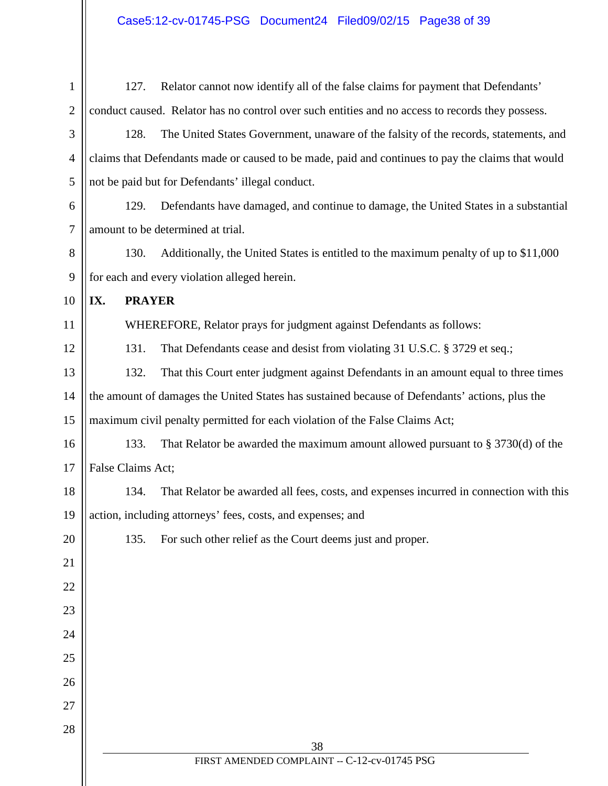1 2 3 4 5 6 7 8 9 10 11 12 13 14 15 16 17 18 19 20 21 22 23 24 25 26 27 28 127. Relator cannot now identify all of the false claims for payment that Defendants' conduct caused. Relator has no control over such entities and no access to records they possess. 128. The United States Government, unaware of the falsity of the records, statements, and claims that Defendants made or caused to be made, paid and continues to pay the claims that would not be paid but for Defendants' illegal conduct. 129. Defendants have damaged, and continue to damage, the United States in a substantial amount to be determined at trial. 130. Additionally, the United States is entitled to the maximum penalty of up to \$11,000 for each and every violation alleged herein. **IX. PRAYER** WHEREFORE, Relator prays for judgment against Defendants as follows: 131. That Defendants cease and desist from violating 31 U.S.C. § 3729 et seq.; 132. That this Court enter judgment against Defendants in an amount equal to three times the amount of damages the United States has sustained because of Defendants' actions, plus the maximum civil penalty permitted for each violation of the False Claims Act; 133. That Relator be awarded the maximum amount allowed pursuant to § 3730(d) of the False Claims Act; 134. That Relator be awarded all fees, costs, and expenses incurred in connection with this action, including attorneys' fees, costs, and expenses; and 135. For such other relief as the Court deems just and proper.